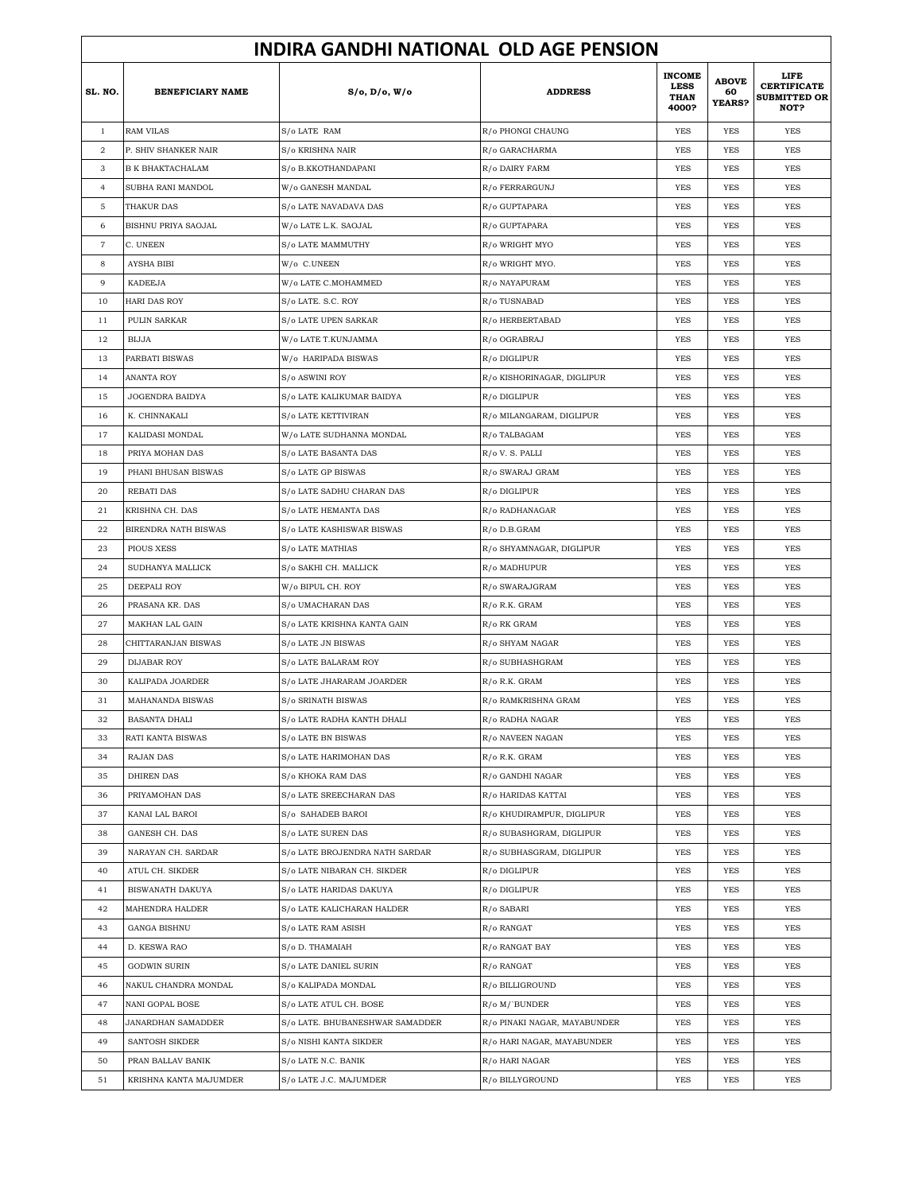|                   | <b>INDIRA GANDHI NATIONAL OLD AGE PENSION</b> |                                 |                              |                                                      |                                     |                                                           |  |  |
|-------------------|-----------------------------------------------|---------------------------------|------------------------------|------------------------------------------------------|-------------------------------------|-----------------------------------------------------------|--|--|
| SL. NO.           | <b>BENEFICIARY NAME</b>                       | S/o, D/o, W/o                   | <b>ADDRESS</b>               | <b>INCOME</b><br><b>LESS</b><br><b>THAN</b><br>4000? | <b>ABOVE</b><br>60<br><b>YEARS?</b> | LIFE<br><b>CERTIFICATE</b><br><b>SUBMITTED OR</b><br>NOT? |  |  |
| $\mathbf{1}$      | <b>RAM VILAS</b>                              | S/o LATE RAM                    | R/o PHONGI CHAUNG            | <b>YES</b>                                           | <b>YES</b>                          | <b>YES</b>                                                |  |  |
| $\,2$             | P. SHIV SHANKER NAIR                          | S/o KRISHNA NAIR                | R/o GARACHARMA               | <b>YES</b>                                           | <b>YES</b>                          | <b>YES</b>                                                |  |  |
| 3                 | <b>B K BHAKTACHALAM</b>                       | S/o B.KKOTHANDAPANI             | R/o DAIRY FARM               | <b>YES</b>                                           | <b>YES</b>                          | <b>YES</b>                                                |  |  |
| $\overline{4}$    | SUBHA RANI MANDOL                             | W/o GANESH MANDAL               | R/o FERRARGUNJ               | YES                                                  | <b>YES</b>                          | <b>YES</b>                                                |  |  |
| 5                 | THAKUR DAS                                    | S/o LATE NAVADAVA DAS           | R/o GUPTAPARA                | YES                                                  | YES                                 | YES                                                       |  |  |
| 6                 | BISHNU PRIYA SAOJAL                           | W/o LATE L.K. SAOJAL            | R/o GUPTAPARA                | <b>YES</b>                                           | <b>YES</b>                          | <b>YES</b>                                                |  |  |
| $\scriptstyle{7}$ | C. UNEEN                                      | S/o LATE MAMMUTHY               | R/o WRIGHT MYO               | YES                                                  | YES                                 | <b>YES</b>                                                |  |  |
| 8                 | <b>AYSHA BIBI</b>                             | W/o C.UNEEN                     | R/o WRIGHT MYO.              | YES                                                  | <b>YES</b>                          | <b>YES</b>                                                |  |  |
| 9                 | <b>KADEEJA</b>                                | W/o LATE C.MOHAMMED             | R/o NAYAPURAM                | YES                                                  | <b>YES</b>                          | <b>YES</b>                                                |  |  |
| 10                | HARI DAS ROY                                  | S/o LATE. S.C. ROY              | R/o TUSNABAD                 | YES                                                  | YES                                 | <b>YES</b>                                                |  |  |
| 11                | PULIN SARKAR                                  | S/o LATE UPEN SARKAR            | R/o HERBERTABAD              | YES                                                  | <b>YES</b>                          | <b>YES</b>                                                |  |  |
| 12                | <b>BIJJA</b>                                  | W/o LATE T.KUNJAMMA             | R/o OGRABRAJ                 | YES                                                  | <b>YES</b>                          | <b>YES</b>                                                |  |  |
| 13                | PARBATI BISWAS                                | W/o HARIPADA BISWAS             | R/o DIGLIPUR                 | YES                                                  | YES                                 | <b>YES</b>                                                |  |  |
| 14                | ANANTA ROY                                    | S/o ASWINI ROY                  | R/o KISHORINAGAR, DIGLIPUR   | YES                                                  | YES                                 | <b>YES</b>                                                |  |  |
| 15                | JOGENDRA BAIDYA                               | S/o LATE KALIKUMAR BAIDYA       | R/o DIGLIPUR                 | YES                                                  | YES                                 | YES                                                       |  |  |
| 16                | K. CHINNAKALI                                 | S/o LATE KETTIVIRAN             | R/o MILANGARAM, DIGLIPUR     | <b>YES</b>                                           | <b>YES</b>                          | <b>YES</b>                                                |  |  |
| 17                | KALIDASI MONDAL                               | W/o LATE SUDHANNA MONDAL        | R/o TALBAGAM                 | YES                                                  | YES                                 | <b>YES</b>                                                |  |  |
| 18                | PRIYA MOHAN DAS                               | S/o LATE BASANTA DAS            | R/o V. S. PALLI              | YES                                                  | <b>YES</b>                          | <b>YES</b>                                                |  |  |
| 19                | PHANI BHUSAN BISWAS                           | S/o LATE GP BISWAS              | R/o SWARAJ GRAM              | <b>YES</b>                                           | <b>YES</b>                          | <b>YES</b>                                                |  |  |
| 20                | REBATI DAS                                    | S/o LATE SADHU CHARAN DAS       | R/o DIGLIPUR                 | YES                                                  | YES                                 | <b>YES</b>                                                |  |  |
| 21                | KRISHNA CH. DAS                               | S/o LATE HEMANTA DAS            | R/o RADHANAGAR               | <b>YES</b>                                           | <b>YES</b>                          | <b>YES</b>                                                |  |  |
| 22                | BIRENDRA NATH BISWAS                          | S/o LATE KASHISWAR BISWAS       | R/o D.B.GRAM                 | YES                                                  | <b>YES</b>                          | <b>YES</b>                                                |  |  |
| 23                | <b>PIOUS XESS</b>                             | S/o LATE MATHIAS                | R/o SHYAMNAGAR, DIGLIPUR     | YES                                                  | <b>YES</b>                          | <b>YES</b>                                                |  |  |
| 24                | SUDHANYA MALLICK                              | S/o SAKHI CH. MALLICK           | R/o MADHUPUR                 | YES                                                  | <b>YES</b>                          | <b>YES</b>                                                |  |  |
| 25                | DEEPALI ROY                                   | W/o BIPUL CH. ROY               | R/o SWARAJGRAM               | YES                                                  | YES                                 | YES                                                       |  |  |
| 26                | PRASANA KR. DAS                               | S/o UMACHARAN DAS               | R/o R.K. GRAM                | <b>YES</b>                                           | <b>YES</b>                          | <b>YES</b>                                                |  |  |
| 27                | MAKHAN LAL GAIN                               | S/o LATE KRISHNA KANTA GAIN     | R/o RK GRAM                  | YES                                                  | YES                                 | <b>YES</b>                                                |  |  |
| 28                | CHITTARANJAN BISWAS                           | S/o LATE JN BISWAS              | R/o SHYAM NAGAR              | YES                                                  | <b>YES</b>                          | <b>YES</b>                                                |  |  |
| 29                | <b>DIJABAR ROY</b>                            | S/o LATE BALARAM ROY            | R/o SUBHASHGRAM              | <b>YES</b>                                           | <b>YES</b>                          | <b>YES</b>                                                |  |  |
| 30                | KALIPADA JOARDER                              | S/o LATE JHARARAM JOARDER       | R/o R.K. GRAM                | YES                                                  | YES                                 | YES                                                       |  |  |
| 31                | MAHANANDA BISWAS                              | S/o SRINATH BISWAS              | R/o RAMKRISHNA GRAM          | <b>YES</b>                                           | <b>YES</b>                          | <b>YES</b>                                                |  |  |
| 32                | <b>BASANTA DHALI</b>                          | S/o LATE RADHA KANTH DHALI      | R/o RADHA NAGAR              | <b>YES</b>                                           | YES                                 | YES                                                       |  |  |
| 33                | RATI KANTA BISWAS                             | S/o LATE BN BISWAS              | R/o NAVEEN NAGAN             | <b>YES</b>                                           | YES                                 | <b>YES</b>                                                |  |  |
| 34                | <b>RAJAN DAS</b>                              | S/o LATE HARIMOHAN DAS          | R/o R.K. GRAM                | <b>YES</b>                                           | YES                                 | YES                                                       |  |  |
| 35                | <b>DHIREN DAS</b>                             | S/o KHOKA RAM DAS               | R/o GANDHI NAGAR             | YES                                                  | YES                                 | YES                                                       |  |  |
| 36                | PRIYAMOHAN DAS                                | S/o LATE SREECHARAN DAS         | R/o HARIDAS KATTAI           | <b>YES</b>                                           | YES                                 | YES                                                       |  |  |
| 37                | KANAI LAL BAROI                               | S/o SAHADEB BAROI               | R/o KHUDIRAMPUR, DIGLIPUR    | <b>YES</b>                                           | YES                                 | YES                                                       |  |  |
| 38                | <b>GANESH CH. DAS</b>                         | S/o LATE SUREN DAS              | R/o SUBASHGRAM, DIGLIPUR     | <b>YES</b>                                           | YES                                 | YES                                                       |  |  |
| 39                | NARAYAN CH. SARDAR                            | S/o LATE BROJENDRA NATH SARDAR  | R/o SUBHASGRAM, DIGLIPUR     | <b>YES</b>                                           | YES                                 | YES                                                       |  |  |
| 40                | ATUL CH. SIKDER                               | S/o LATE NIBARAN CH. SIKDER     | R/o DIGLIPUR                 | YES                                                  | YES                                 | YES                                                       |  |  |
| 41                | BISWANATH DAKUYA                              | S/o LATE HARIDAS DAKUYA         | R/o DIGLIPUR                 | <b>YES</b>                                           | YES                                 | YES                                                       |  |  |
| 42                | MAHENDRA HALDER                               | S/o LATE KALICHARAN HALDER      | R/o SABARI                   | <b>YES</b>                                           | YES                                 | YES                                                       |  |  |
| 43                | <b>GANGA BISHNU</b>                           | S/o LATE RAM ASISH              | R/o RANGAT                   | <b>YES</b>                                           | YES                                 | YES                                                       |  |  |
| 44                | D. KESWA RAO                                  | S/o D. THAMAIAH                 | R/o RANGAT BAY               | <b>YES</b>                                           | YES                                 | YES                                                       |  |  |
| 45                | GODWIN SURIN                                  | S/o LATE DANIEL SURIN           | R/o RANGAT                   | YES                                                  | YES                                 | YES                                                       |  |  |
| 46                | NAKUL CHANDRA MONDAL                          | S/o KALIPADA MONDAL             | R/o BILLIGROUND              | YES                                                  | YES                                 | YES                                                       |  |  |
| 47                | NANI GOPAL BOSE                               | S/o LATE ATUL CH. BOSE          | R/o M/`BUNDER                | YES                                                  | YES                                 | YES                                                       |  |  |
| 48                | JANARDHAN SAMADDER                            | S/o LATE. BHUBANESHWAR SAMADDER | R/o PINAKI NAGAR, MAYABUNDER | YES                                                  | YES                                 | YES                                                       |  |  |
| 49                | SANTOSH SIKDER                                | S/o NISHI KANTA SIKDER          | R/o HARI NAGAR, MAYABUNDER   | YES                                                  | YES                                 | YES                                                       |  |  |
| 50                | PRAN BALLAV BANIK                             | S/o LATE N.C. BANIK             | R/o HARI NAGAR               | YES                                                  | YES                                 | YES                                                       |  |  |
| 51                | KRISHNA KANTA MAJUMDER                        | S/o LATE J.C. MAJUMDER          | R/o BILLYGROUND              | YES                                                  | YES                                 | YES                                                       |  |  |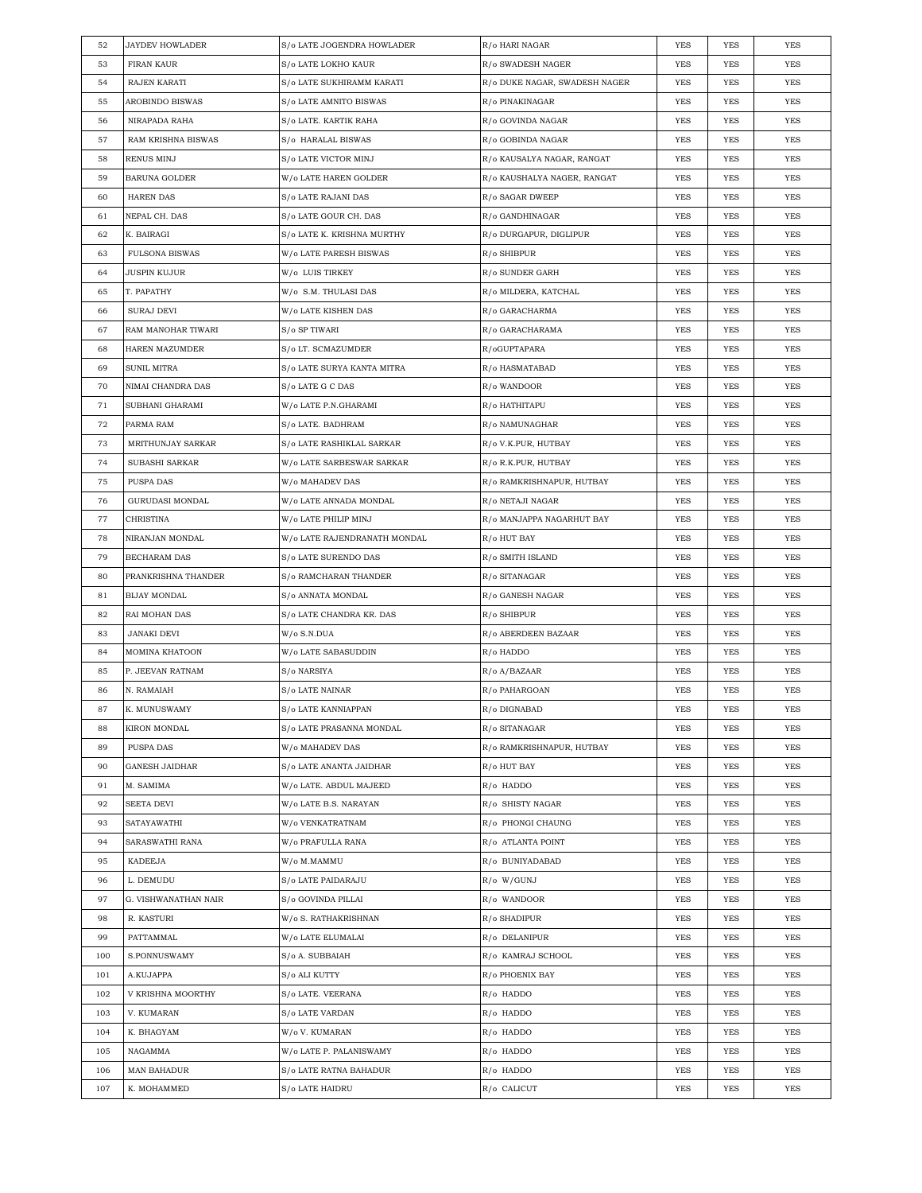| 52  | <b>JAYDEV HOWLADER</b> | S/o LATE JOGENDRA HOWLADER   | R/o HARI NAGAR                | YES        | YES        | YES        |
|-----|------------------------|------------------------------|-------------------------------|------------|------------|------------|
| 53  | FIRAN KAUR             | <b>S/o LATE LOKHO KAUR</b>   | R/o SWADESH NAGER             | YES        | YES        | YES        |
| 54  | RAJEN KARATI           | S/o LATE SUKHIRAMM KARATI    | R/o DUKE NAGAR, SWADESH NAGER | YES        | YES        | YES        |
| 55  | AROBINDO BISWAS        | S/o LATE AMNITO BISWAS       | R/o PINAKINAGAR               | YES        | YES        | YES        |
| 56  | NIRAPADA RAHA          | S/o LATE. KARTIK RAHA        | R/o GOVINDA NAGAR             | YES        | YES        | <b>YES</b> |
| 57  | RAM KRISHNA BISWAS     | S/o HARALAL BISWAS           | R/o GOBINDA NAGAR             | YES        | YES        | YES        |
| 58  | RENUS MINJ             | S/o LATE VICTOR MINJ         | R/o KAUSALYA NAGAR, RANGAT    | YES        | YES        | YES        |
| 59  | BARUNA GOLDER          | W/o LATE HAREN GOLDER        | R/o KAUSHALYA NAGER, RANGAT   | YES        | YES        | <b>YES</b> |
| 60  | <b>HAREN DAS</b>       | S/o LATE RAJANI DAS          | R/o SAGAR DWEEP               | YES        | YES        | <b>YES</b> |
| 61  | NEPAL CH. DAS          | S/o LATE GOUR CH. DAS        | R/o GANDHINAGAR               | YES        | YES        | <b>YES</b> |
| 62  | K. BAIRAGI             | S/o LATE K. KRISHNA MURTHY   | R/o DURGAPUR, DIGLIPUR        | YES        | YES        | <b>YES</b> |
| 63  | <b>FULSONA BISWAS</b>  | W/o LATE PARESH BISWAS       | R/o SHIBPUR                   | YES        | YES        | YES        |
| 64  | JUSPIN KUJUR           | W/o LUIS TIRKEY              | R/o SUNDER GARH               | YES        | YES        | YES        |
| 65  | T. PAPATHY             | W/o S.M. THULASI DAS         | R/o MILDERA, KATCHAL          | YES        | YES        | YES        |
| 66  | SURAJ DEVI             | W/o LATE KISHEN DAS          | R/o GARACHARMA                | YES        | YES        | YES        |
| 67  | RAM MANOHAR TIWARI     | S/o SP TIWARI                | R/o GARACHARAMA               | YES        | YES        | YES        |
| 68  | HAREN MAZUMDER         | S/o LT. SCMAZUMDER           | R/oGUPTAPARA                  | YES        | YES        | YES        |
| 69  | <b>SUNIL MITRA</b>     | S/o LATE SURYA KANTA MITRA   | R/o HASMATABAD                | YES        | YES        | <b>YES</b> |
| 70  | NIMAI CHANDRA DAS      | S/o LATE G C DAS             | R/o WANDOOR                   | YES        | YES        | YES        |
| 71  | SUBHANI GHARAMI        | W/o LATE P.N.GHARAMI         | R/o HATHITAPU                 | YES        | YES        | <b>YES</b> |
| 72  | PARMA RAM              | S/o LATE. BADHRAM            | R/o NAMUNAGHAR                | YES        | YES        | <b>YES</b> |
| 73  | MRITHUNJAY SARKAR      | S/o LATE RASHIKLAL SARKAR    | R/o V.K.PUR, HUTBAY           | YES        | YES        | <b>YES</b> |
| 74  | SUBASHI SARKAR         | W/o LATE SARBESWAR SARKAR    | R/o R.K.PUR, HUTBAY           | YES        | YES        | YES        |
| 75  | PUSPA DAS              | W/o MAHADEV DAS              | R/o RAMKRISHNAPUR, HUTBAY     | YES        | YES        | YES        |
| 76  | GURUDASI MONDAL        | W/o LATE ANNADA MONDAL       | R/o NETAJI NAGAR              | <b>YES</b> | YES        | YES        |
| 77  | CHRISTINA              | W/o LATE PHILIP MINJ         | R/o MANJAPPA NAGARHUT BAY     | YES        | YES        | YES        |
| 78  | NIRANJAN MONDAL        | W/o LATE RAJENDRANATH MONDAL | R/o HUT BAY                   | YES        | YES        | <b>YES</b> |
| 79  | BECHARAM DAS           | S/o LATE SURENDO DAS         | R/o SMITH ISLAND              | YES        | YES        | YES        |
| 80  | PRANKRISHNA THANDER    | S/o RAMCHARAN THANDER        | R/o SITANAGAR                 | YES        | YES        | <b>YES</b> |
| 81  | <b>BIJAY MONDAL</b>    | S/o ANNATA MONDAL            | R/o GANESH NAGAR              | YES        | YES        | <b>YES</b> |
| 82  | RAI MOHAN DAS          | S/o LATE CHANDRA KR. DAS     | R/o SHIBPUR                   | YES        | YES        | YES        |
| 83  | <b>JANAKI DEVI</b>     | W/o S.N.DUA                  | R/o ABERDEEN BAZAAR           | YES        | YES        | <b>YES</b> |
| 84  | MOMINA KHATOON         | W/o LATE SABASUDDIN          | R/o HADDO                     | YES        | YES        | YES        |
| 85  | P. JEEVAN RATNAM       | S/o NARSIYA                  | R/o A/BAZAAR                  | YES        | YES        | <b>YES</b> |
| 86  | N. RAMAIAH             | S/o LATE NAINAR              | R/o PAHARGOAN                 | <b>YES</b> | YES        | <b>YES</b> |
| 87  | K. MUNUSWAMY           |                              |                               |            |            |            |
| 88  |                        | S/o LATE KANNIAPPAN          | R/o DIGNABAD                  | <b>YES</b> | <b>YES</b> | <b>YES</b> |
|     | KIRON MONDAL           | S/o LATE PRASANNA MONDAL     | R/o SITANAGAR                 | YES        | YES        | YES        |
| 89  | PUSPA DAS              | W/o MAHADEV DAS              | R/o RAMKRISHNAPUR, HUTBAY     | YES        | YES        | YES        |
| 90  | <b>GANESH JAIDHAR</b>  | S/o LATE ANANTA JAIDHAR      | R/o HUT BAY                   | YES        | YES        | YES        |
| 91  | M. SAMIMA              | W/o LATE. ABDUL MAJEED       | R/o HADDO                     | YES        | YES        | YES        |
| 92  | SEETA DEVI             | W/o LATE B.S. NARAYAN        | R/o SHISTY NAGAR              | YES        | YES        | YES        |
| 93  | SATAYAWATHI            | W/o VENKATRATNAM             | R/o PHONGI CHAUNG             | YES        | YES        | YES        |
| 94  | SARASWATHI RANA        | W/o PRAFULLA RANA            | R/o ATLANTA POINT             | YES        | YES        | YES        |
| 95  | KADEEJA                | W/o M.MAMMU                  | R/o BUNIYADABAD               | YES        | YES        | YES        |
| 96  | L. DEMUDU              | S/o LATE PAIDARAJU           | R/o W/GUNJ                    | YES        | YES        | YES        |
| 97  | G. VISHWANATHAN NAIR   | S/o GOVINDA PILLAI           | R/o WANDOOR                   | YES        | YES        | YES        |
| 98  | R. KASTURI             | W/o S. RATHAKRISHNAN         | R/o SHADIPUR                  | YES        | YES        | YES        |
| 99  | PATTAMMAL              | W/o LATE ELUMALAI            | R/o DELANIPUR                 | YES        | YES        | YES        |
| 100 | S.PONNUSWAMY           | S/o A. SUBBAIAH              | R/o KAMRAJ SCHOOL             | YES        | YES        | YES        |
| 101 | A.KUJAPPA              | S/o ALI KUTTY                | R/o PHOENIX BAY               | YES        | YES        | YES        |
| 102 | V KRISHNA MOORTHY      | S/o LATE. VEERANA            | R/o HADDO                     | YES        | YES        | YES        |
| 103 | V. KUMARAN             | S/o LATE VARDAN              | R/o HADDO                     | YES        | YES        | YES        |
| 104 | K. BHAGYAM             | W/o V. KUMARAN               | R/o HADDO                     | YES        | YES        | YES        |
| 105 | NAGAMMA                | W/o LATE P. PALANISWAMY      | R/o HADDO                     | YES        | YES        | YES        |
| 106 | MAN BAHADUR            | S/o LATE RATNA BAHADUR       | R/o HADDO                     | YES        | YES        | YES        |
| 107 | K. MOHAMMED            | S/o LATE HAIDRU              | R/o CALICUT                   | YES        | YES        | YES        |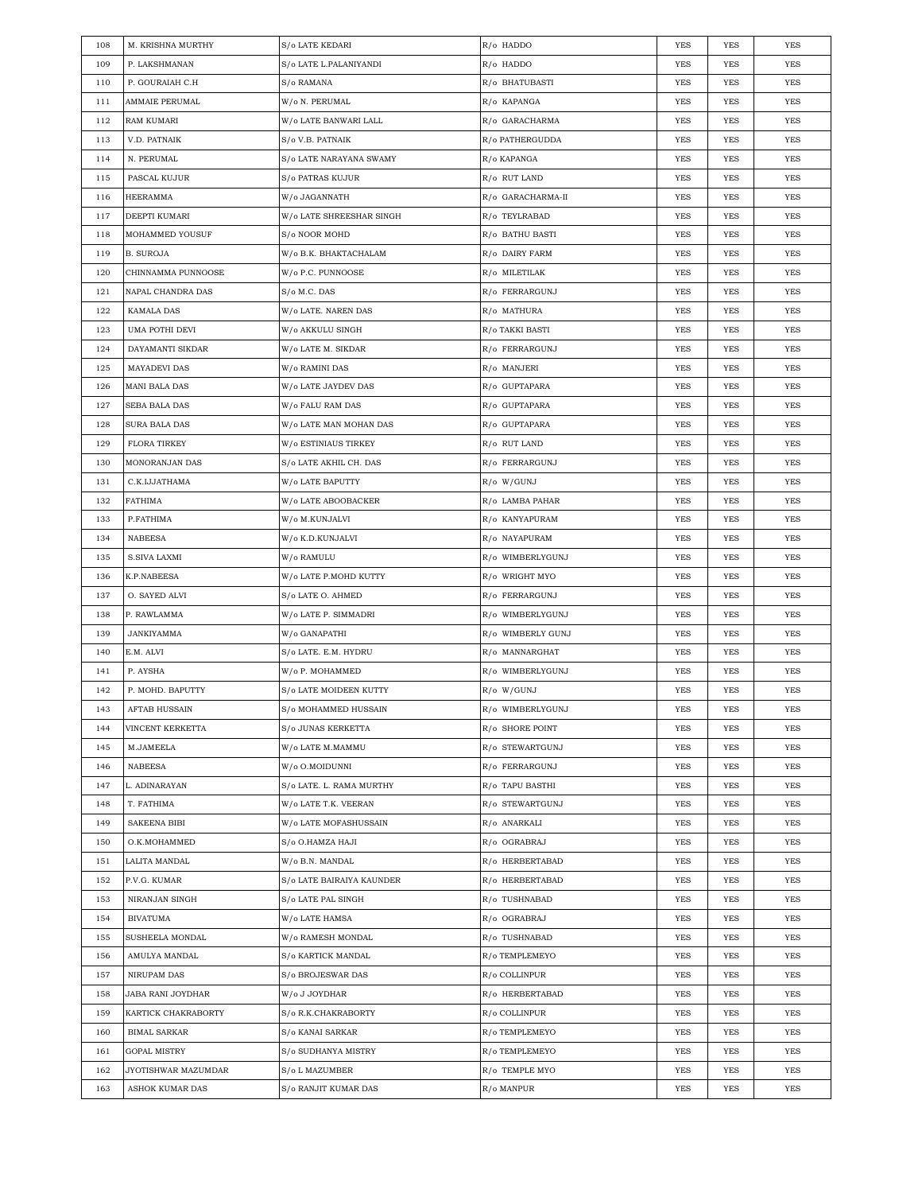| 108        | M. KRISHNA MURTHY                      | S/o LATE KEDARI                        | R/o HADDO                     | YES        | YES        | YES        |
|------------|----------------------------------------|----------------------------------------|-------------------------------|------------|------------|------------|
| 109        | P. LAKSHMANAN                          | S/o LATE L.PALANIYANDI                 | R/o HADDO                     | YES        | <b>YES</b> | <b>YES</b> |
| 110        | P. GOURAIAH C.H                        | S/o RAMANA                             | R/o BHATUBASTI                | YES        | YES        | <b>YES</b> |
| 111        | AMMAIE PERUMAL                         | W/o N. PERUMAL                         | R/o KAPANGA                   | YES        | YES        | <b>YES</b> |
| 112        | RAM KUMARI                             | W/o LATE BANWARI LALL                  | R/o GARACHARMA                | YES        | YES        | <b>YES</b> |
| 113        | V.D. PATNAIK                           | S/o V.B. PATNAIK                       | R/o PATHERGUDDA               | YES        | YES        | <b>YES</b> |
| 114        | N. PERUMAL                             | S/o LATE NARAYANA SWAMY                | R/o KAPANGA                   | YES        | YES        | <b>YES</b> |
| 115        | PASCAL KUJUR                           | S/o PATRAS KUJUR                       | R/o RUT LAND                  | YES        | YES        | <b>YES</b> |
| 116        | HEERAMMA                               | W/o JAGANNATH                          | R/o GARACHARMA-II             | YES        | YES        | <b>YES</b> |
| 117        | DEEPTI KUMARI                          | W/o LATE SHREESHAR SINGH               | R/o TEYLRABAD                 | YES        | YES        | <b>YES</b> |
| 118        | MOHAMMED YOUSUF                        | S/0 NOOR MOHD                          | R/o BATHU BASTI               | YES        | YES        | <b>YES</b> |
| 119        | <b>B. SUROJA</b>                       | W/o B.K. BHAKTACHALAM                  | R/o DAIRY FARM                | YES        | YES        | YES        |
| 120        | CHINNAMMA PUNNOOSE                     | W/o P.C. PUNNOOSE                      | R/o MILETILAK                 | YES        | YES        | <b>YES</b> |
| 121        | NAPAL CHANDRA DAS                      | S/o M.C. DAS                           | R/o FERRARGUNJ                | YES        | YES        | <b>YES</b> |
| 122        | <b>KAMALA DAS</b>                      | W/o LATE. NAREN DAS                    | R/o MATHURA                   | YES        | YES        | <b>YES</b> |
| 123        | UMA POTHI DEVI                         | W/o AKKULU SINGH                       | R/o TAKKI BASTI               | YES        | YES        | <b>YES</b> |
| 124        | DAYAMANTI SIKDAR                       | W/o LATE M. SIKDAR                     | R/o FERRARGUNJ                | YES        | YES        | <b>YES</b> |
| 125        | <b>MAYADEVI DAS</b>                    | W/o RAMINI DAS                         | R/o MANJERI                   | YES        | YES        | <b>YES</b> |
| 126        | <b>MANI BALA DAS</b>                   | W/o LATE JAYDEV DAS                    | R/o GUPTAPARA                 | YES        | YES        | <b>YES</b> |
| 127        | <b>SEBA BALA DAS</b>                   | W/o FALU RAM DAS                       | R/o GUPTAPARA                 | YES        | YES        | <b>YES</b> |
| 128        | SURA BALA DAS                          | W/o LATE MAN MOHAN DAS                 | R/o GUPTAPARA                 | YES        | YES        | <b>YES</b> |
| 129        | <b>FLORA TIRKEY</b>                    | W/o ESTINIAUS TIRKEY                   | R/o RUT LAND                  | YES        | YES        | YES        |
| 130        | MONORANJAN DAS                         | S/o LATE AKHIL CH. DAS                 | R/o FERRARGUNJ                | YES        | YES        | YES        |
| 131        | C.K.IJJATHAMA                          | W/o LATE BAPUTTY                       | R/o W/GUNJ                    | YES        | YES        | <b>YES</b> |
| 132        | FATHIMA                                | W/o LATE ABOOBACKER                    | R/o LAMBA PAHAR               | YES        | YES        | <b>YES</b> |
| 133        | P.FATHIMA                              | W/o M.KUNJALVI                         | R/o KANYAPURAM                | YES        | YES        | <b>YES</b> |
| 134        | <b>NABEESA</b>                         | W/o K.D.KUNJALVI                       | R/o NAYAPURAM                 | YES        | YES        | YES        |
| 135        | <b>S.SIVA LAXMI</b>                    | W/o RAMULU                             | R/o WIMBERLYGUNJ              | YES        | YES        | <b>YES</b> |
| 136        | K.P.NABEESA                            | W/o LATE P.MOHD KUTTY                  | R/o WRIGHT MYO                | YES        | YES        | <b>YES</b> |
| 137        | O. SAYED ALVI                          | S/o LATE O. AHMED                      | R/o FERRARGUNJ                | YES        | YES        | <b>YES</b> |
| 138        | P. RAWLAMMA                            | W/o LATE P. SIMMADRI                   | R/o WIMBERLYGUNJ              | YES        | YES        | <b>YES</b> |
| 139        | JANKIYAMMA                             | W/o GANAPATHI                          | R/o WIMBERLY GUNJ             | YES        | YES        | YES        |
| 140        | E.M. ALVI                              | S/o LATE. E.M. HYDRU                   | R/o MANNARGHAT                | YES        | YES        | <b>YES</b> |
| 141        | P. AYSHA                               | W/o P. MOHAMMED                        | R/o WIMBERLYGUNJ              | YES        | YES        | <b>YES</b> |
| 142        | P. MOHD. BAPUTTY                       | S/o LATE MOIDEEN KUTTY                 | R/o W/GUNJ                    | YES        | YES        | <b>YES</b> |
| 143        | AFTAB HUSSAIN                          | S/o MOHAMMED HUSSAIN                   | R/o WIMBERLYGUNJ              | YES        | YES        | <b>YES</b> |
| 144        | VINCENT KERKETTA                       | S/o JUNAS KERKETTA                     | R/o SHORE POINT               | YES        | YES        | YES        |
| 145        | M.JAMEELA                              | W/o LATE M.MAMMU                       | R/o STEWARTGUNJ               | YES        | YES        | YES        |
| 146        | NABEESA                                | W/o O.MOIDUNNI                         | R/o FERRARGUNJ                | YES        | YES        | YES        |
| 147        | L. ADINARAYAN                          | S/o LATE. L. RAMA MURTHY               | R/o TAPU BASTHI               | YES        | YES        | YES        |
| 148        | T. FATHIMA                             | W/o LATE T.K. VEERAN                   | R/o STEWARTGUNJ               | YES        | YES        | YES        |
| 149        | <b>SAKEENA BIBI</b>                    | W/o LATE MOFASHUSSAIN                  | R/o ANARKALI                  | YES        | YES        | YES        |
| 150        | O.K.MOHAMMED                           | S/o O.HAMZA HAJI                       | R/o OGRABRAJ                  | YES        | YES        | YES        |
| 151        | LALITA MANDAL                          | W/o B.N. MANDAL                        | R/o HERBERTABAD               | YES        | YES        | YES        |
| 152        | P.V.G. KUMAR                           | S/o LATE BAIRAIYA KAUNDER              | R/o HERBERTABAD               | YES        | YES        | YES        |
|            |                                        |                                        |                               |            |            |            |
| 153<br>154 | NIRANJAN SINGH<br>BIVATUMA             | S/o LATE PAL SINGH<br>W/o LATE HAMSA   | R/o TUSHNABAD<br>R/o OGRABRAJ | YES<br>YES | YES<br>YES | YES<br>YES |
|            |                                        |                                        |                               |            |            |            |
| 155        | SUSHEELA MONDAL                        | W/o RAMESH MONDAL                      | R/o TUSHNABAD                 | YES        | YES        | YES        |
| 156        | AMULYA MANDAL                          | S/o KARTICK MANDAL                     | R/o TEMPLEMEYO                | YES<br>YES | YES<br>YES | YES        |
| 157        |                                        |                                        |                               |            |            | YES        |
|            | NIRUPAM DAS                            | S/o BROJESWAR DAS                      | R/o COLLINPUR                 |            |            |            |
| 158        | JABA RANI JOYDHAR                      | W/o J JOYDHAR                          | R/o HERBERTABAD               | YES        | YES        | YES        |
| 159        | KARTICK CHAKRABORTY                    | S/o R.K.CHAKRABORTY                    | R/o COLLINPUR                 | YES        | YES        | YES        |
| 160        | <b>BIMAL SARKAR</b>                    | S/o KANAI SARKAR                       | R/o TEMPLEMEYO                | YES        | YES        | YES        |
| 161        | <b>GOPAL MISTRY</b>                    | S/o SUDHANYA MISTRY                    | R/o TEMPLEMEYO                | YES        | YES        | YES        |
| 162<br>163 | JYOTISHWAR MAZUMDAR<br>ASHOK KUMAR DAS | S/o L MAZUMBER<br>S/o RANJIT KUMAR DAS | R/o TEMPLE MYO<br>R/o MANPUR  | YES<br>YES | YES<br>YES | YES<br>YES |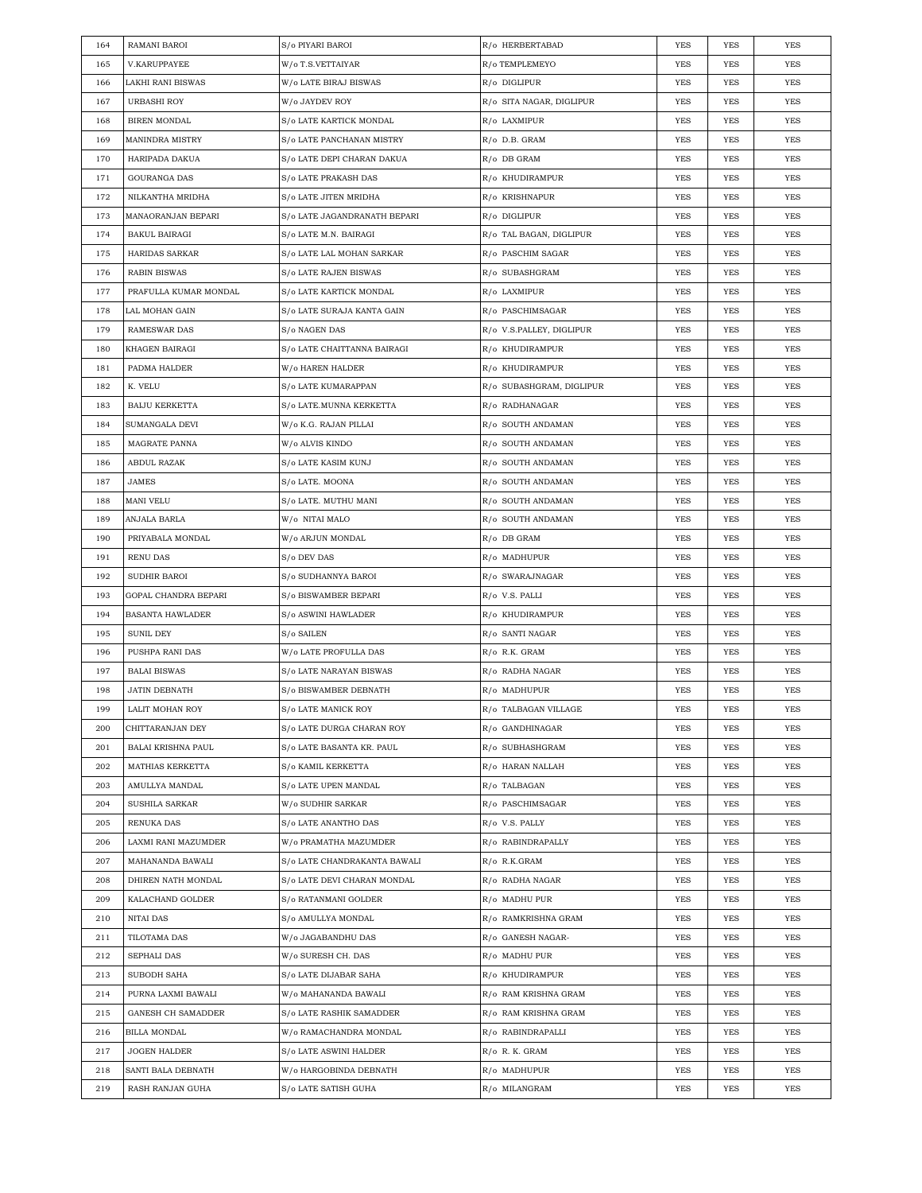| 164 | RAMANI BAROI              | S/o PIYARI BAROI             | R/o HERBERTABAD          | YES        | YES        | YES        |
|-----|---------------------------|------------------------------|--------------------------|------------|------------|------------|
| 165 | V.KARUPPAYEE              | W/o T.S.VETTAIYAR            | R/o TEMPLEMEYO           | YES        | YES        | YES        |
| 166 | LAKHI RANI BISWAS         | W/o LATE BIRAJ BISWAS        | R/o DIGLIPUR             | YES        | YES        | YES        |
| 167 | URBASHI ROY               | W/o JAYDEV ROY               | R/o SITA NAGAR, DIGLIPUR | YES        | YES        | YES        |
| 168 | <b>BIREN MONDAL</b>       | S/o LATE KARTICK MONDAL      | R/o LAXMIPUR             | YES        | YES        | <b>YES</b> |
| 169 | <b>MANINDRA MISTRY</b>    | S/o LATE PANCHANAN MISTRY    | R/o D.B. GRAM            | YES        | YES        | YES        |
| 170 | HARIPADA DAKUA            | S/o LATE DEPI CHARAN DAKUA   | R/o DB GRAM              | YES        | YES        | YES        |
| 171 | GOURANGA DAS              | S/o LATE PRAKASH DAS         | R/o KHUDIRAMPUR          | YES        | YES        | <b>YES</b> |
| 172 | NILKANTHA MRIDHA          | S/o LATE JITEN MRIDHA        | R/o KRISHNAPUR           | YES        | YES        | <b>YES</b> |
| 173 | MANAORANJAN BEPARI        | S/o LATE JAGANDRANATH BEPARI | R/o DIGLIPUR             | YES        | YES        | <b>YES</b> |
| 174 | <b>BAKUL BAIRAGI</b>      | S/o LATE M.N. BAIRAGI        | R/o TAL BAGAN, DIGLIPUR  | YES        | YES        | YES        |
| 175 | <b>HARIDAS SARKAR</b>     | S/o LATE LAL MOHAN SARKAR    | R/o PASCHIM SAGAR        | YES        | YES        | YES        |
| 176 | <b>RABIN BISWAS</b>       | S/o LATE RAJEN BISWAS        | R/o SUBASHGRAM           | YES        | YES        | <b>YES</b> |
| 177 | PRAFULLA KUMAR MONDAL     | S/o LATE KARTICK MONDAL      | R/o LAXMIPUR             | YES        | YES        | <b>YES</b> |
| 178 | LAL MOHAN GAIN            | S/o LATE SURAJA KANTA GAIN   | R/o PASCHIMSAGAR         | YES        | YES        | <b>YES</b> |
| 179 | RAMESWAR DAS              | S/o NAGEN DAS                | R/o V.S.PALLEY, DIGLIPUR | YES        | YES        | <b>YES</b> |
| 180 | KHAGEN BAIRAGI            | S/o LATE CHAITTANNA BAIRAGI  | R/o KHUDIRAMPUR          | YES        | YES        | YES        |
| 181 | PADMA HALDER              | W/o HAREN HALDER             | R/o KHUDIRAMPUR          | YES        | YES        | <b>YES</b> |
| 182 | K. VELU                   | S/o LATE KUMARAPPAN          | R/o SUBASHGRAM, DIGLIPUR | YES        | YES        | <b>YES</b> |
| 183 | <b>BAIJU KERKETTA</b>     | S/o LATE.MUNNA KERKETTA      | R/o RADHANAGAR           | YES        | <b>YES</b> | <b>YES</b> |
| 184 | SUMANGALA DEVI            | W/o K.G. RAJAN PILLAI        | R/o SOUTH ANDAMAN        | YES        | YES        | YES        |
| 185 | MAGRATE PANNA             | W/o ALVIS KINDO              | R/o SOUTH ANDAMAN        | YES        | YES        | YES        |
| 186 | ABDUL RAZAK               | S/o LATE KASIM KUNJ          | R/o SOUTH ANDAMAN        | YES        | YES        | <b>YES</b> |
| 187 | JAMES                     | S/o LATE. MOONA              | R/o SOUTH ANDAMAN        | YES        | YES        | YES        |
| 188 | <b>MANI VELU</b>          | S/o LATE. MUTHU MANI         | R/o SOUTH ANDAMAN        | YES        | YES        | <b>YES</b> |
| 189 | ANJALA BARLA              | W/o NITAI MALO               | R/o SOUTH ANDAMAN        | YES        | YES        | YES        |
| 190 | PRIYABALA MONDAL          | W/o ARJUN MONDAL             | R/o DB GRAM              | YES        | YES        | <b>YES</b> |
| 191 | <b>RENU DAS</b>           | S/o DEV DAS                  | R/o MADHUPUR             | YES        | YES        | <b>YES</b> |
| 192 | SUDHIR BAROI              | S/o SUDHANNYA BAROI          | R/o SWARAJNAGAR          | YES        | YES        | YES        |
|     |                           |                              |                          |            |            |            |
| 193 | GOPAL CHANDRA BEPARI      | S/o BISWAMBER BEPARI         | R/o V.S. PALLI           | YES        | YES        | YES        |
| 194 | <b>BASANTA HAWLADER</b>   | S/o ASWINI HAWLADER          | R/o KHUDIRAMPUR          | YES        | YES        | YES        |
| 195 | <b>SUNIL DEY</b>          | S/o SAILEN                   | R/o SANTI NAGAR          | YES        | YES        | YES        |
| 196 | PUSHPA RANI DAS           | W/o LATE PROFULLA DAS        | R/o R.K. GRAM            | YES        | YES        | <b>YES</b> |
| 197 | <b>BALAI BISWAS</b>       | S/o LATE NARAYAN BISWAS      | R/o RADHA NAGAR          | YES        | YES        | YES        |
| 198 | <b>JATIN DEBNATH</b>      | S/o BISWAMBER DEBNATH        | R/o MADHUPUR             | <b>YES</b> | <b>YES</b> | <b>YES</b> |
| 199 | LALIT MOHAN ROY           | S/o LATE MANICK ROY          | R/o TALBAGAN VILLAGE     | <b>YES</b> | <b>YES</b> | <b>YES</b> |
| 200 | CHITTARANJAN DEY          | S/o LATE DURGA CHARAN ROY    | R/o GANDHINAGAR          | YES        | YES        | YES        |
| 201 | <b>BALAI KRISHNA PAUL</b> | S/o LATE BASANTA KR. PAUL    | R/o SUBHASHGRAM          | YES        | YES        | YES        |
| 202 | MATHIAS KERKETTA          | S/o KAMIL KERKETTA           | R/o HARAN NALLAH         | YES        | YES        | YES        |
| 203 | AMULLYA MANDAL            | S/o LATE UPEN MANDAL         | R/o TALBAGAN             | YES        | YES        | YES        |
| 204 | SUSHILA SARKAR            | W/o SUDHIR SARKAR            | R/o PASCHIMSAGAR         | YES        | YES        | YES        |
| 205 | RENUKA DAS                | S/o LATE ANANTHO DAS         | R/o V.S. PALLY           | YES        | YES        | YES        |
| 206 | LAXMI RANI MAZUMDER       | W/o PRAMATHA MAZUMDER        | R/o RABINDRAPALLY        | YES        | YES        | YES        |
| 207 | MAHANANDA BAWALI          | S/o LATE CHANDRAKANTA BAWALI | R/o R.K.GRAM             | YES        | YES        | YES        |
| 208 | DHIREN NATH MONDAL        | S/o LATE DEVI CHARAN MONDAL  | R/o RADHA NAGAR          | YES        | YES        | YES        |
| 209 | KALACHAND GOLDER          | S/o RATANMANI GOLDER         | R/o MADHU PUR            | YES        | YES        | YES        |
| 210 | NITAI DAS                 | S/o AMULLYA MONDAL           | R/o RAMKRISHNA GRAM      | YES        | YES        | YES        |
| 211 | TILOTAMA DAS              | W/o JAGABANDHU DAS           | R/o GANESH NAGAR-        | YES        | YES        | YES        |
| 212 | SEPHALI DAS               | W/o SURESH CH. DAS           | R/o MADHU PUR            | YES        | YES        | YES        |
| 213 | SUBODH SAHA               | S/o LATE DIJABAR SAHA        | R/o KHUDIRAMPUR          | YES        | YES        | YES        |
| 214 | PURNA LAXMI BAWALI        | W/o MAHANANDA BAWALI         | R/o RAM KRISHNA GRAM     | YES        | YES        | YES        |
| 215 | GANESH CH SAMADDER        | S/o LATE RASHIK SAMADDER     | R/o RAM KRISHNA GRAM     | YES        | YES        | YES        |
| 216 | BILLA MONDAL              | W/o RAMACHANDRA MONDAL       | R/o RABINDRAPALLI        | YES        | YES        | YES        |
| 217 | JOGEN HALDER              | S/o LATE ASWINI HALDER       | R/o R. K. GRAM           | YES        | YES        | YES        |
| 218 | SANTI BALA DEBNATH        | W/o HARGOBINDA DEBNATH       | R/o MADHUPUR             | YES        | YES        | YES        |
| 219 | RASH RANJAN GUHA          | S/o LATE SATISH GUHA         | R/o MILANGRAM            | YES        | YES        | YES        |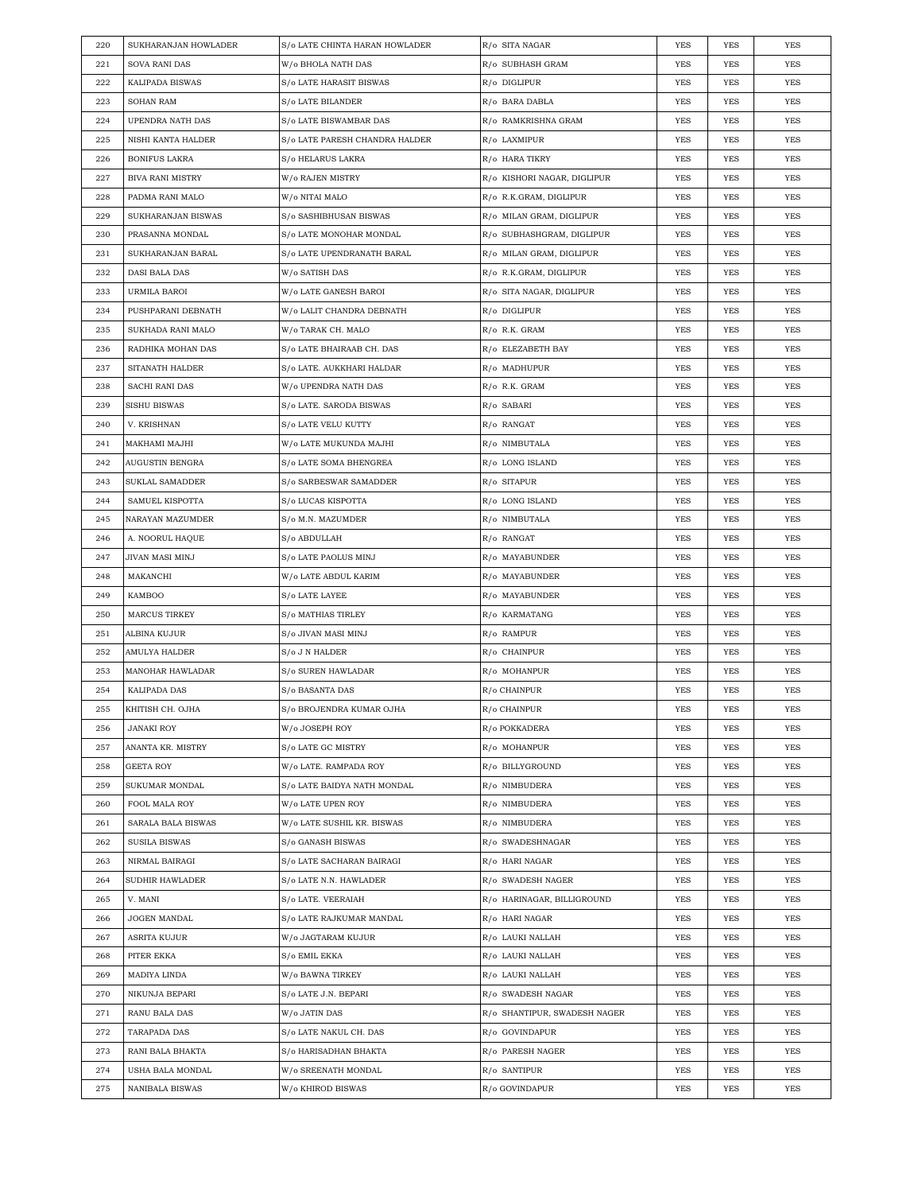| 220 | SUKHARANJAN HOWLADER    | S/o LATE CHINTA HARAN HOWLADER | R/o SITA NAGAR               | <b>YES</b> | <b>YES</b> | YES        |
|-----|-------------------------|--------------------------------|------------------------------|------------|------------|------------|
| 221 | SOVA RANI DAS           | W/o BHOLA NATH DAS             | R/o SUBHASH GRAM             | YES        | <b>YES</b> | <b>YES</b> |
| 222 | KALIPADA BISWAS         | S/o LATE HARASIT BISWAS        | R/o DIGLIPUR                 | YES        | YES        | YES        |
| 223 | <b>SOHAN RAM</b>        | S/o LATE BILANDER              | R/o BARA DABLA               | YES        | <b>YES</b> | YES        |
| 224 | UPENDRA NATH DAS        | S/o LATE BISWAMBAR DAS         | R/o RAMKRISHNA GRAM          | YES        | YES        | YES        |
| 225 | NISHI KANTA HALDER      | S/o LATE PARESH CHANDRA HALDER | R/o LAXMIPUR                 | YES        | <b>YES</b> | <b>YES</b> |
| 226 | BONIFUS LAKRA           | S/o HELARUS LAKRA              | R/o HARA TIKRY               | YES        | YES        | YES        |
| 227 | <b>BIVA RANI MISTRY</b> | W/o RAJEN MISTRY               | R/o KISHORI NAGAR, DIGLIPUR  | YES        | YES        | YES        |
| 228 | PADMA RANI MALO         | W/o NITAI MALO                 | R/o R.K.GRAM, DIGLIPUR       | YES        | <b>YES</b> | <b>YES</b> |
| 229 | SUKHARANJAN BISWAS      | S/o SASHIBHUSAN BISWAS         | R/o MILAN GRAM, DIGLIPUR     | YES        | YES        | YES        |
| 230 | PRASANNA MONDAL         | S/o LATE MONOHAR MONDAL        | R/o SUBHASHGRAM, DIGLIPUR    | YES        | YES        | YES        |
| 231 | SUKHARANJAN BARAL       | S/o LATE UPENDRANATH BARAL     | R/o MILAN GRAM, DIGLIPUR     | YES        | YES        | YES        |
| 232 | DASI BALA DAS           | W/o SATISH DAS                 | R/o R.K.GRAM, DIGLIPUR       | YES        | YES        | YES        |
| 233 | URMILA BAROI            | W/o LATE GANESH BAROI          | R/o SITA NAGAR, DIGLIPUR     | YES        | YES        | YES        |
| 234 | PUSHPARANI DEBNATH      | W/o LALIT CHANDRA DEBNATH      | R/o DIGLIPUR                 | YES        | YES        | YES        |
| 235 | SUKHADA RANI MALO       | W/o TARAK CH. MALO             | R/o R.K. GRAM                | YES        | <b>YES</b> | <b>YES</b> |
| 236 | RADHIKA MOHAN DAS       | S/o LATE BHAIRAAB CH. DAS      | R/o ELEZABETH BAY            | YES        | YES        | <b>YES</b> |
| 237 | SITANATH HALDER         | S/o LATE. AUKKHARI HALDAR      | R/o MADHUPUR                 | YES        | YES        | YES        |
| 238 | SACHI RANI DAS          | W/o UPENDRA NATH DAS           | R/o R.K. GRAM                | YES        | <b>YES</b> | <b>YES</b> |
| 239 | <b>SISHU BISWAS</b>     | S/o LATE. SARODA BISWAS        | R/o SABARI                   | YES        | YES        | YES        |
| 240 | V. KRISHNAN             | S/o LATE VELU KUTTY            | R/o RANGAT                   | YES        | <b>YES</b> | <b>YES</b> |
| 241 | MAKHAMI MAJHI           | W/o LATE MUKUNDA MAJHI         | R/o NIMBUTALA                | YES        | YES        | YES        |
| 242 | AUGUSTIN BENGRA         | S/o LATE SOMA BHENGREA         | R/o LONG ISLAND              | YES        | YES        | YES        |
| 243 | SUKLAL SAMADDER         | S/o SARBESWAR SAMADDER         | R/o SITAPUR                  | YES        | YES        | YES        |
| 244 | SAMUEL KISPOTTA         | S/o LUCAS KISPOTTA             | R/o LONG ISLAND              | YES        | YES        | YES        |
| 245 | NARAYAN MAZUMDER        | S/o M.N. MAZUMDER              | R/o NIMBUTALA                | YES        | <b>YES</b> | YES        |
| 246 | A. NOORUL HAQUE         | S/o ABDULLAH                   | R/o RANGAT                   | YES        | YES        | YES        |
| 247 | JIVAN MASI MINJ         | S/o LATE PAOLUS MINJ           | R/o MAYABUNDER               | YES        | YES        | YES        |
|     |                         |                                |                              |            |            |            |
| 248 | MAKANCHI                | W/o LATE ABDUL KARIM           | R/o MAYABUNDER               | YES        | <b>YES</b> | <b>YES</b> |
| 249 | KAMBOO                  | S/o LATE LAYEE                 | R/o MAYABUNDER               | YES        | YES        | YES        |
| 250 | <b>MARCUS TIRKEY</b>    | S/o MATHIAS TIRLEY             | R/o KARMATANG                | YES        | <b>YES</b> | YES        |
| 251 | ALBINA KUJUR            | S/o JIVAN MASI MINJ            | R/o RAMPUR                   | YES        | YES        | YES        |
| 252 | AMULYA HALDER           | S/o J N HALDER                 | R/o CHAINPUR                 | YES        | YES        | YES        |
| 253 | MANOHAR HAWLADAR        | S/o SUREN HAWLADAR             | R/o MOHANPUR                 | YES        | YES        | YES        |
| 254 | KALIPADA DAS            | S/o BASANTA DAS                | R/o CHAINPUR                 | YES        | YES        | YES        |
| 255 | KHITISH CH. OJHA        | S/o BROJENDRA KUMAR OJHA       | R/o CHAINPUR                 | YES        | YES        | YES        |
| 256 | JANAKI ROY              | W/o JOSEPH ROY                 | R/o POKKADERA                | YES        | YES        | YES        |
| 257 | ANANTA KR. MISTRY       | S/o LATE GC MISTRY             | R/o MOHANPUR                 | <b>YES</b> | YES        | YES        |
| 258 | GEETA ROY               | W/o LATE. RAMPADA ROY          | R/o BILLYGROUND              | <b>YES</b> | YES        | YES        |
| 259 | SUKUMAR MONDAL          | S/o LATE BAIDYA NATH MONDAL    | R/o NIMBUDERA                | YES        | YES        | YES        |
| 260 | FOOL MALA ROY           | W/o LATE UPEN ROY              | R/o NIMBUDERA                | YES        | YES        | YES        |
| 261 | SARALA BALA BISWAS      | W/o LATE SUSHIL KR. BISWAS     | R/o NIMBUDERA                | YES        | YES        | YES        |
| 262 | SUSILA BISWAS           | S/o GANASH BISWAS              | R/o SWADESHNAGAR             | <b>YES</b> | YES        | YES        |
| 263 | NIRMAL BAIRAGI          | S/o LATE SACHARAN BAIRAGI      | R/o HARI NAGAR               | <b>YES</b> | YES        | YES        |
| 264 | SUDHIR HAWLADER         | S/o LATE N.N. HAWLADER         | R/o SWADESH NAGER            | YES        | YES        | YES        |
| 265 | V. MANI                 | S/o LATE. VEERAIAH             | R/o HARINAGAR, BILLIGROUND   | <b>YES</b> | YES        | YES        |
| 266 | JOGEN MANDAL            | S/o LATE RAJKUMAR MANDAL       | R/o HARI NAGAR               | YES        | YES        | YES        |
| 267 | ASRITA KUJUR            | W/o JAGTARAM KUJUR             | R/o LAUKI NALLAH             | <b>YES</b> | YES        | YES        |
| 268 | PITER EKKA              | S/o EMIL EKKA                  | R/o LAUKI NALLAH             | <b>YES</b> | YES        | YES        |
| 269 | MADIYA LINDA            | W/o BAWNA TIRKEY               | R/o LAUKI NALLAH             | YES        | YES        | YES        |
| 270 | NIKUNJA BEPARI          | S/o LATE J.N. BEPARI           | R/o SWADESH NAGAR            | YES        | YES        | YES        |
| 271 | RANU BALA DAS           | W/o JATIN DAS                  | R/o SHANTIPUR, SWADESH NAGER | YES        | YES        | YES        |
| 272 | TARAPADA DAS            | S/o LATE NAKUL CH. DAS         | R/o GOVINDAPUR               | <b>YES</b> | YES        | YES        |
| 273 | RANI BALA BHAKTA        | S/o HARISADHAN BHAKTA          | R/o PARESH NAGER             | <b>YES</b> | YES        | YES        |
| 274 | USHA BALA MONDAL        | W/o SREENATH MONDAL            | R/o SANTIPUR                 | YES        | YES        | YES        |
| 275 | NANIBALA BISWAS         | W/o KHIROD BISWAS              | R/o GOVINDAPUR               | <b>YES</b> | YES        | YES        |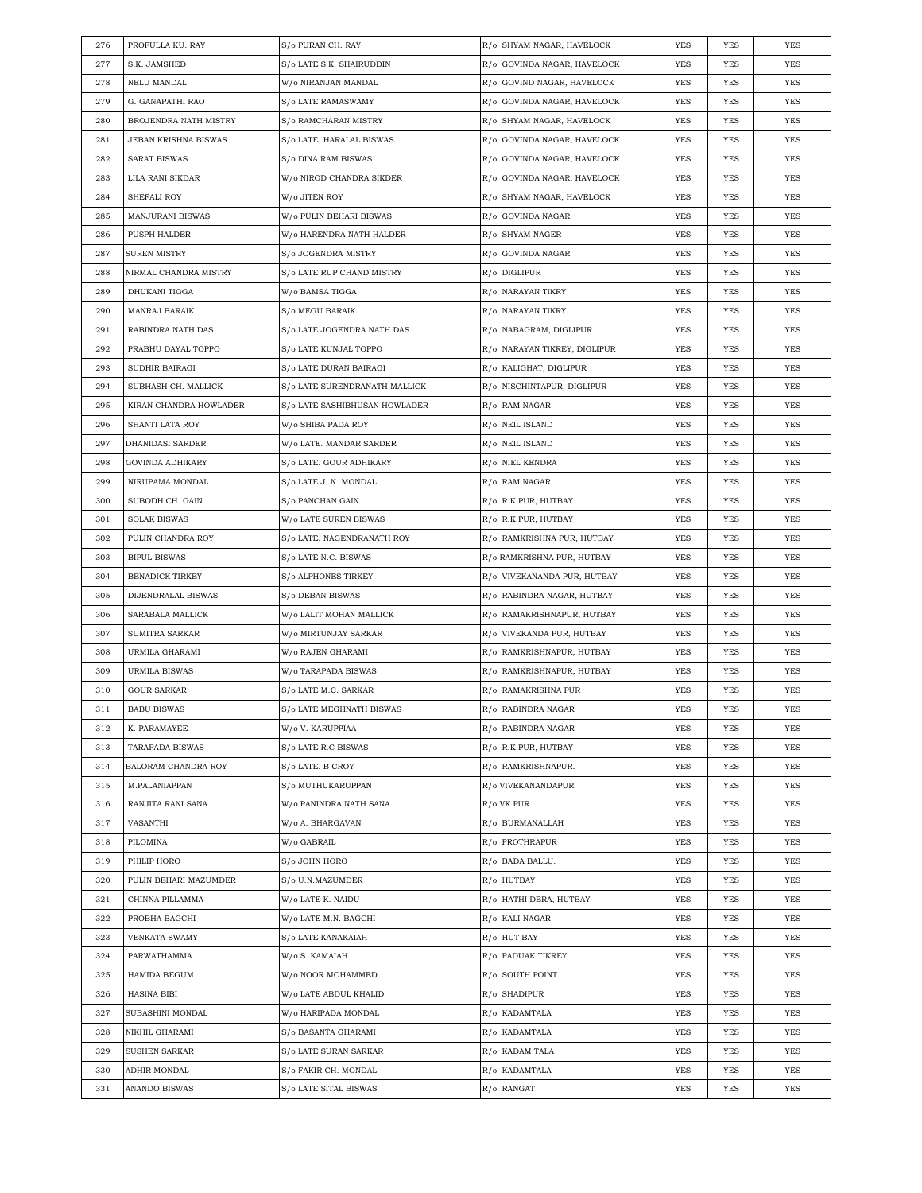| 276 | PROFULLA KU. RAY        | S/o PURAN CH. RAY             | R/o SHYAM NAGAR, HAVELOCK    | YES        | YES        | YES        |
|-----|-------------------------|-------------------------------|------------------------------|------------|------------|------------|
| 277 | S.K. JAMSHED            | S/o LATE S.K. SHAIRUDDIN      | R/o GOVINDA NAGAR, HAVELOCK  | YES        | YES        | YES        |
| 278 | NELU MANDAL             | W/o NIRANJAN MANDAL           | R/o GOVIND NAGAR, HAVELOCK   | YES        | <b>YES</b> | YES        |
| 279 | G. GANAPATHI RAO        | S/o LATE RAMASWAMY            | R/o GOVINDA NAGAR, HAVELOCK  | YES        | YES        | YES        |
| 280 | BROJENDRA NATH MISTRY   | S/o RAMCHARAN MISTRY          | R/o SHYAM NAGAR, HAVELOCK    | YES        | YES        | <b>YES</b> |
| 281 | JEBAN KRISHNA BISWAS    | S/o LATE. HARALAL BISWAS      | R/o GOVINDA NAGAR, HAVELOCK  | YES        | YES        | YES        |
| 282 | SARAT BISWAS            | S/o DINA RAM BISWAS           | R/o GOVINDA NAGAR, HAVELOCK  | YES        | YES        | YES        |
| 283 | LILA RANI SIKDAR        | W/o NIROD CHANDRA SIKDER      | R/o GOVINDA NAGAR, HAVELOCK  | YES        | YES        | YES        |
| 284 | SHEFALI ROY             | W/o JITEN ROY                 | R/o SHYAM NAGAR, HAVELOCK    | YES        | YES        | YES        |
| 285 | <b>MANJURANI BISWAS</b> | W/o PULIN BEHARI BISWAS       | R/o GOVINDA NAGAR            | YES        | YES        | YES        |
| 286 | PUSPH HALDER            | W/o HARENDRA NATH HALDER      | R/o SHYAM NAGER              | YES        | YES        | YES        |
| 287 | <b>SUREN MISTRY</b>     | S/o JOGENDRA MISTRY           | R/o GOVINDA NAGAR            | YES        | YES        | YES        |
| 288 | NIRMAL CHANDRA MISTRY   | S/o LATE RUP CHAND MISTRY     | R/o DIGLIPUR                 | YES        | <b>YES</b> | YES        |
| 289 | DHUKANI TIGGA           | W/o BAMSA TIGGA               | R/o NARAYAN TIKRY            | YES        | YES        | YES        |
| 290 | MANRAJ BARAIK           | S/o MEGU BARAIK               | R/o NARAYAN TIKRY            | YES        | YES        | <b>YES</b> |
| 291 | RABINDRA NATH DAS       | S/o LATE JOGENDRA NATH DAS    | R/o NABAGRAM, DIGLIPUR       | YES        | YES        | YES        |
| 292 | PRABHU DAYAL TOPPO      | S/o LATE KUNJAL TOPPO         | R/o NARAYAN TIKREY, DIGLIPUR | YES        | YES        | YES        |
| 293 | SUDHIR BAIRAGI          | S/o LATE DURAN BAIRAGI        | R/o KALIGHAT, DIGLIPUR       | YES        | <b>YES</b> | YES        |
| 294 | SUBHASH CH. MALLICK     | S/o LATE SURENDRANATH MALLICK | R/o NISCHINTAPUR, DIGLIPUR   | YES        | YES        | YES        |
| 295 | KIRAN CHANDRA HOWLADER  | S/o LATE SASHIBHUSAN HOWLADER | R/o RAM NAGAR                | YES        | YES        | <b>YES</b> |
| 296 | SHANTI LATA ROY         | W/o SHIBA PADA ROY            | R/o NEIL ISLAND              | YES        | YES        | YES        |
| 297 | DHANIDASI SARDER        | W/o LATE. MANDAR SARDER       | R/o NEIL ISLAND              | YES        | YES        | YES        |
| 298 | GOVINDA ADHIKARY        | S/o LATE. GOUR ADHIKARY       | R/o NIEL KENDRA              | YES        | <b>YES</b> | YES        |
| 299 | NIRUPAMA MONDAL         | S/o LATE J. N. MONDAL         | R/o RAM NAGAR                | YES        | YES        | YES        |
| 300 | SUBODH CH. GAIN         | S/o PANCHAN GAIN              | R/o R.K.PUR, HUTBAY          | YES        | YES        | <b>YES</b> |
| 301 | <b>SOLAK BISWAS</b>     | W/o LATE SUREN BISWAS         | R/o R.K.PUR, HUTBAY          | YES        | YES        | <b>YES</b> |
| 302 | PULIN CHANDRA ROY       | S/o LATE. NAGENDRANATH ROY    | R/o RAMKRISHNA PUR, HUTBAY   | YES        | YES        | YES        |
| 303 | <b>BIPUL BISWAS</b>     | S/o LATE N.C. BISWAS          | R/o RAMKRISHNA PUR, HUTBAY   | YES        | YES        | YES        |
| 304 | <b>BENADICK TIRKEY</b>  | S/o ALPHONES TIRKEY           | R/o VIVEKANANDA PUR, HUTBAY  | YES        | YES        | YES        |
| 305 | DIJENDRALAL BISWAS      | S/o DEBAN BISWAS              | R/o RABINDRA NAGAR, HUTBAY   | YES        | YES        | YES        |
| 306 | SARABALA MALLICK        | W/o LALIT MOHAN MALLICK       | R/o RAMAKRISHNAPUR, HUTBAY   | YES        | YES        | YES        |
| 307 | SUMITRA SARKAR          | W/o MIRTUNJAY SARKAR          | R/o VIVEKANDA PUR, HUTBAY    | YES        | YES        | YES        |
| 308 | URMILA GHARAMI          | W/o RAJEN GHARAMI             | R/o RAMKRISHNAPUR, HUTBAY    | YES        | YES        | YES        |
| 309 | <b>URMILA BISWAS</b>    | W/o TARAPADA BISWAS           | R/o RAMKRISHNAPUR, HUTBAY    | YES        | YES        | YES        |
| 310 | <b>GOUR SARKAR</b>      | S/o LATE M.C. SARKAR          | R/o RAMAKRISHNA PUR          | <b>YES</b> | <b>YES</b> | <b>YES</b> |
| 311 | <b>BABU BISWAS</b>      | S/o LATE MEGHNATH BISWAS      | R/o RABINDRA NAGAR           | <b>YES</b> | <b>YES</b> | <b>YES</b> |
| 312 | K. PARAMAYEE            | W/o V. KARUPPIAA              | R/o RABINDRA NAGAR           | <b>YES</b> | YES        | YES        |
| 313 | TARAPADA BISWAS         | S/o LATE R.C BISWAS           | R/o R.K.PUR, HUTBAY          | <b>YES</b> | YES        | YES        |
| 314 | BALORAM CHANDRA ROY     | S/o LATE. B CROY              | R/o RAMKRISHNAPUR.           | YES        | YES        | YES        |
| 315 | M.PALANIAPPAN           | S/o MUTHUKARUPPAN             | R/o VIVEKANANDAPUR           | YES        | YES        | YES        |
| 316 | RANJITA RANI SANA       | W/o PANINDRA NATH SANA        | R/o VK PUR                   | YES        | YES        | YES        |
| 317 |                         |                               |                              |            |            |            |
|     | VASANTHI                | W/o A. BHARGAVAN              | R/o BURMANALLAH              | YES        | YES        | YES        |
| 318 | PILOMINA                | W/o GABRAIL                   | R/o PROTHRAPUR               | <b>YES</b> | YES        | YES        |
| 319 | PHILIP HORO             | S/o JOHN HORO                 | R/o BADA BALLU.              | YES        | YES        | YES        |
| 320 | PULIN BEHARI MAZUMDER   | S/o U.N.MAZUMDER              | R/o HUTBAY                   | <b>YES</b> | YES        | YES        |
| 321 | CHINNA PILLAMMA         | W/o LATE K. NAIDU             | R/o HATHI DERA, HUTBAY       | YES        | YES        | YES        |
| 322 | PROBHA BAGCHI           | W/o LATE M.N. BAGCHI          | R/o KALI NAGAR               | YES        | YES        | YES        |
| 323 | VENKATA SWAMY           | S/o LATE KANAKAIAH            | R/o HUT BAY                  | YES        | YES        | YES        |
| 324 | PARWATHAMMA             | W/o S. KAMAIAH                | R/o PADUAK TIKREY            | YES        | YES        | YES        |
| 325 | HAMIDA BEGUM            | W/o NOOR MOHAMMED             | R/o SOUTH POINT              | YES        | YES        | YES        |
| 326 | HASINA BIBI             | W/o LATE ABDUL KHALID         | R/o SHADIPUR                 | YES        | YES        | YES        |
| 327 | SUBASHINI MONDAL        | W/o HARIPADA MONDAL           | R/o KADAMTALA                | YES        | YES        | YES        |
| 328 | NIKHIL GHARAMI          | S/o BASANTA GHARAMI           | R/o KADAMTALA                | <b>YES</b> | YES        | YES        |
| 329 | <b>SUSHEN SARKAR</b>    | S/o LATE SURAN SARKAR         | R/o KADAM TALA               | YES        | YES        | YES        |
| 330 | ADHIR MONDAL            | S/o FAKIR CH. MONDAL          | R/o KADAMTALA                | YES        | YES        | YES        |
| 331 | ANANDO BISWAS           | S/o LATE SITAL BISWAS         | R/o RANGAT                   | <b>YES</b> | YES        | YES        |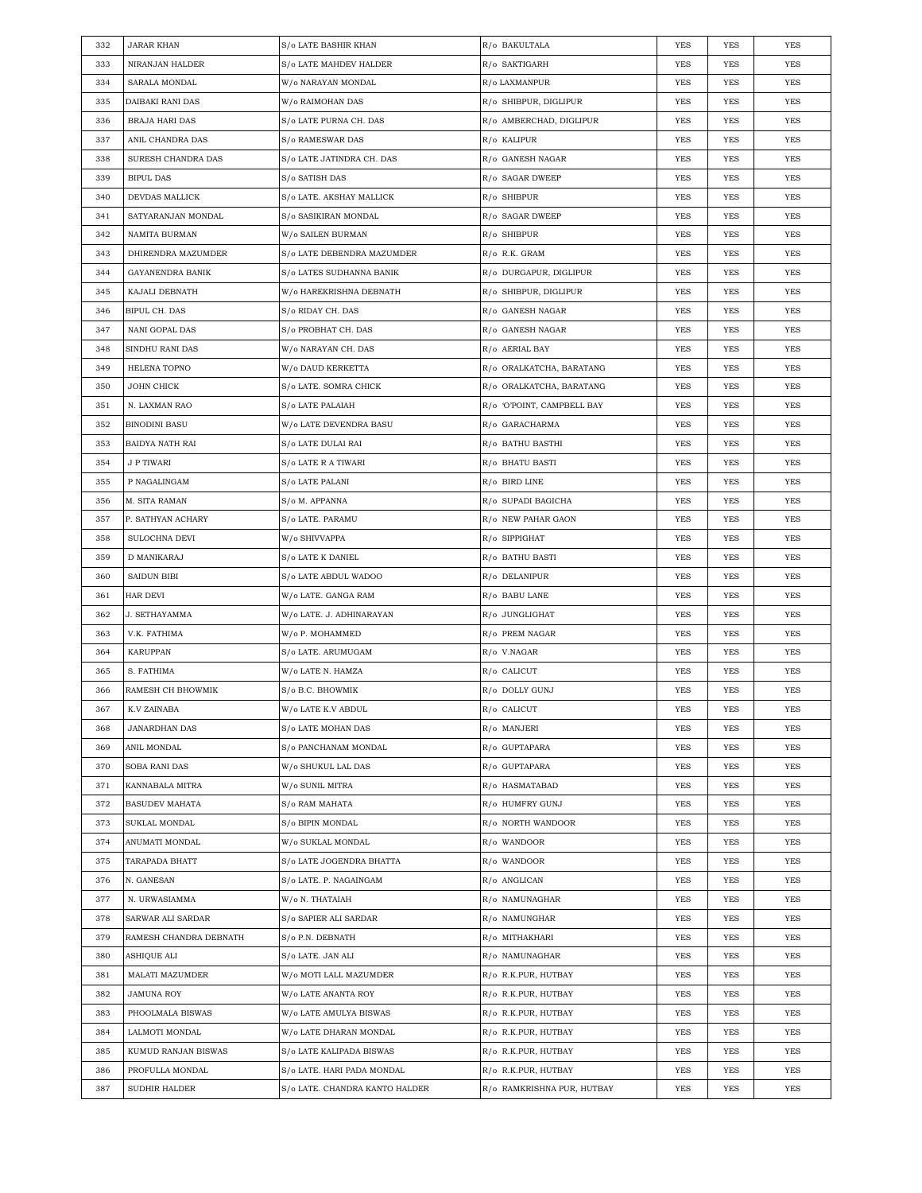| 332 | <b>JARAR KHAN</b>      | S/o LATE BASHIR KHAN                        | R/o BAKULTALA              | <b>YES</b> | <b>YES</b> | YES        |
|-----|------------------------|---------------------------------------------|----------------------------|------------|------------|------------|
| 333 | NIRANJAN HALDER        | S/o LATE MAHDEV HALDER                      | R/o SAKTIGARH              | YES        | <b>YES</b> | <b>YES</b> |
| 334 | SARALA MONDAL          | W/o NARAYAN MONDAL                          | R/o LAXMANPUR              | YES        | YES        | YES        |
| 335 | DAIBAKI RANI DAS       | W/o RAIMOHAN DAS                            | R/o SHIBPUR, DIGLIPUR      | YES        | <b>YES</b> | YES        |
| 336 | BRAJA HARI DAS         | S/o LATE PURNA CH. DAS                      | R/o AMBERCHAD, DIGLIPUR    | YES        | YES        | YES        |
| 337 | ANIL CHANDRA DAS       | S/o RAMESWAR DAS                            | R/o KALIPUR                | YES        | <b>YES</b> | <b>YES</b> |
| 338 | SURESH CHANDRA DAS     | S/o LATE JATINDRA CH. DAS                   | R/o GANESH NAGAR           | YES        | YES        | YES        |
| 339 | <b>BIPUL DAS</b>       | S/o SATISH DAS                              | R/o SAGAR DWEEP            | YES        | YES        | YES        |
| 340 | DEVDAS MALLICK         | S/o LATE. AKSHAY MALLICK                    | $R$ / $o$ SHIBPUR          | YES        | <b>YES</b> | <b>YES</b> |
| 341 | SATYARANJAN MONDAL     | S/o SASIKIRAN MONDAL                        | R/o SAGAR DWEEP            | YES        | YES        | YES        |
| 342 | NAMITA BURMAN          | W/o SAILEN BURMAN                           | R/o SHIBPUR                | YES        | YES        | YES        |
| 343 | DHIRENDRA MAZUMDER     | S/o LATE DEBENDRA MAZUMDER                  | R/o R.K. GRAM              | YES        | YES        | YES        |
| 344 | GAYANENDRA BANIK       | S/o LATES SUDHANNA BANIK                    | R/o DURGAPUR, DIGLIPUR     | YES        | YES        | YES        |
| 345 | KAJALI DEBNATH         | W/o HAREKRISHNA DEBNATH                     | R/o SHIBPUR, DIGLIPUR      | YES        | YES        | YES        |
| 346 | BIPUL CH. DAS          | S/o RIDAY CH. DAS                           | R/o GANESH NAGAR           | YES        | YES        | YES        |
| 347 | NANI GOPAL DAS         | S/o PROBHAT CH. DAS                         | R/o GANESH NAGAR           | YES        | <b>YES</b> | <b>YES</b> |
| 348 | SINDHU RANI DAS        | W/o NARAYAN CH. DAS                         | R/o AERIAL BAY             | YES        | YES        | <b>YES</b> |
| 349 | HELENA TOPNO           | W/o DAUD KERKETTA                           | R/o ORALKATCHA, BARATANG   | YES        | YES        | <b>YES</b> |
| 350 | <b>JOHN CHICK</b>      | S/o LATE. SOMRA CHICK                       | R/o ORALKATCHA, BARATANG   | YES        | <b>YES</b> | <b>YES</b> |
| 351 | N. LAXMAN RAO          | S/o LATE PALAIAH                            | R/o 'O'POINT, CAMPBELL BAY | YES        | YES        | YES        |
| 352 | <b>BINODINI BASU</b>   | W/o LATE DEVENDRA BASU                      | R/o GARACHARMA             | YES        | <b>YES</b> | YES        |
| 353 | BAIDYA NATH RAI        | S/o LATE DULAI RAI                          | R/o BATHU BASTHI           | YES        | YES        | YES        |
| 354 | <b>J P TIWARI</b>      | S/o LATE R A TIWARI                         | R/o BHATU BASTI            | YES        | YES        | YES        |
| 355 | P NAGALINGAM           | S/o LATE PALANI                             | R/o BIRD LINE              | YES        | YES        | YES        |
| 356 | M. SITA RAMAN          | S/o M. APPANNA                              | R/o SUPADI BAGICHA         | YES        | YES        | YES        |
| 357 | P. SATHYAN ACHARY      | S/o LATE. PARAMU                            | R/o NEW PAHAR GAON         | YES        | <b>YES</b> | <b>YES</b> |
| 358 | SULOCHNA DEVI          | W/o SHIVVAPPA                               | R/o SIPPIGHAT              | YES        | YES        | YES        |
| 359 | D MANIKARAJ            | S/o LATE K DANIEL                           | R/o BATHU BASTI            | YES        | YES        | YES        |
| 360 | <b>SAIDUN BIBI</b>     | S/o LATE ABDUL WADOO                        | R/o DELANIPUR              | YES        | <b>YES</b> | <b>YES</b> |
| 361 | HAR DEVI               | W/o LATE. GANGA RAM                         | R/o BABU LANE              | YES        | YES        | YES        |
| 362 | <b>J. SETHAYAMMA</b>   | W/o LATE. J. ADHINARAYAN                    | R/o JUNGLIGHAT             | YES        | <b>YES</b> | YES        |
| 363 | V.K. FATHIMA           | W/o P. MOHAMMED                             | R/o PREM NAGAR             | YES        | YES        | YES        |
| 364 | KARUPPAN               | S/o LATE. ARUMUGAM                          | R/o V.NAGAR                | YES        | YES        | YES        |
| 365 | S. FATHIMA             | W/o LATE N. HAMZA                           | R/o CALICUT                | YES        | YES        | YES        |
| 366 | RAMESH CH BHOWMIK      | S/o B.C. BHOWMIK                            | R/o DOLLY GUNJ             | YES        | YES        | YES        |
| 367 | K.V ZAINABA            | W/o LATE K.V ABDUL                          | R/o CALICUT                | <b>YES</b> | YES        | YES        |
| 368 | <b>JANARDHAN DAS</b>   | S/o LATE MOHAN DAS                          | R/o MANJERI                | YES        | YES        | YES        |
| 369 | ANIL MONDAL            | S/o PANCHANAM MONDAL                        | R/o GUPTAPARA              | <b>YES</b> | YES        | YES        |
| 370 | <b>SOBA RANI DAS</b>   | W/o SHUKUL LAL DAS                          | R/o GUPTAPARA              | <b>YES</b> | YES        | YES        |
| 371 | KANNABALA MITRA        | W/o SUNIL MITRA                             | R/o HASMATABAD             | YES        | YES        | YES        |
| 372 | BASUDEV MAHATA         | S/o RAM MAHATA                              | R/o HUMFRY GUNJ            | YES        | YES        | YES        |
| 373 | SUKLAL MONDAL          | S/o BIPIN MONDAL                            | R/o NORTH WANDOOR          | YES        | YES        | YES        |
| 374 | ANUMATI MONDAL         | W/o SUKLAL MONDAL                           | R/o WANDOOR                | <b>YES</b> | YES        | YES        |
| 375 | TARAPADA BHATT         | S/o LATE JOGENDRA BHATTA                    | R/o WANDOOR                | <b>YES</b> | YES        | YES        |
| 376 | N. GANESAN             | S/o LATE. P. NAGAINGAM                      | R/o ANGLICAN               | YES        | YES        | YES        |
| 377 | N. URWASIAMMA          | W/o N. THATAIAH                             | R/o NAMUNAGHAR             | <b>YES</b> | YES        | YES        |
| 378 | SARWAR ALI SARDAR      | S/o SAPIER ALI SARDAR                       | R/o NAMUNGHAR              | YES        | YES        | YES        |
| 379 | RAMESH CHANDRA DEBNATH | S/o P.N. DEBNATH                            | R/o MITHAKHARI             | <b>YES</b> | YES        | YES        |
| 380 | ASHIQUE ALI            |                                             | R/o NAMUNAGHAR             | <b>YES</b> | YES        | YES        |
|     | MALATI MAZUMDER        | S/o LATE. JAN ALI<br>W/o MOTI LALL MAZUMDER |                            |            | YES        | YES        |
| 381 |                        |                                             | R/o R.K.PUR, HUTBAY        | YES        |            |            |
| 382 | <b>JAMUNA ROY</b>      | W/o LATE ANANTA ROY                         | R/o R.K.PUR, HUTBAY        | YES        | YES        | YES        |
| 383 | PHOOLMALA BISWAS       | W/o LATE AMULYA BISWAS                      | R/o R.K.PUR, HUTBAY        | YES        | YES        | YES        |
| 384 | LALMOTI MONDAL         | W/o LATE DHARAN MONDAL                      | R/o R.K.PUR, HUTBAY        | <b>YES</b> | YES        | YES        |
| 385 | KUMUD RANJAN BISWAS    | S/o LATE KALIPADA BISWAS                    | R/o R.K.PUR, HUTBAY        | <b>YES</b> | YES        | YES        |
| 386 | PROFULLA MONDAL        | S/o LATE. HARI PADA MONDAL                  | R/o R.K.PUR, HUTBAY        | YES        | YES        | YES        |
| 387 | SUDHIR HALDER          | S/o LATE. CHANDRA KANTO HALDER              | R/0 RAMKRISHNA PUR, HUTBAY | <b>YES</b> | YES        | YES        |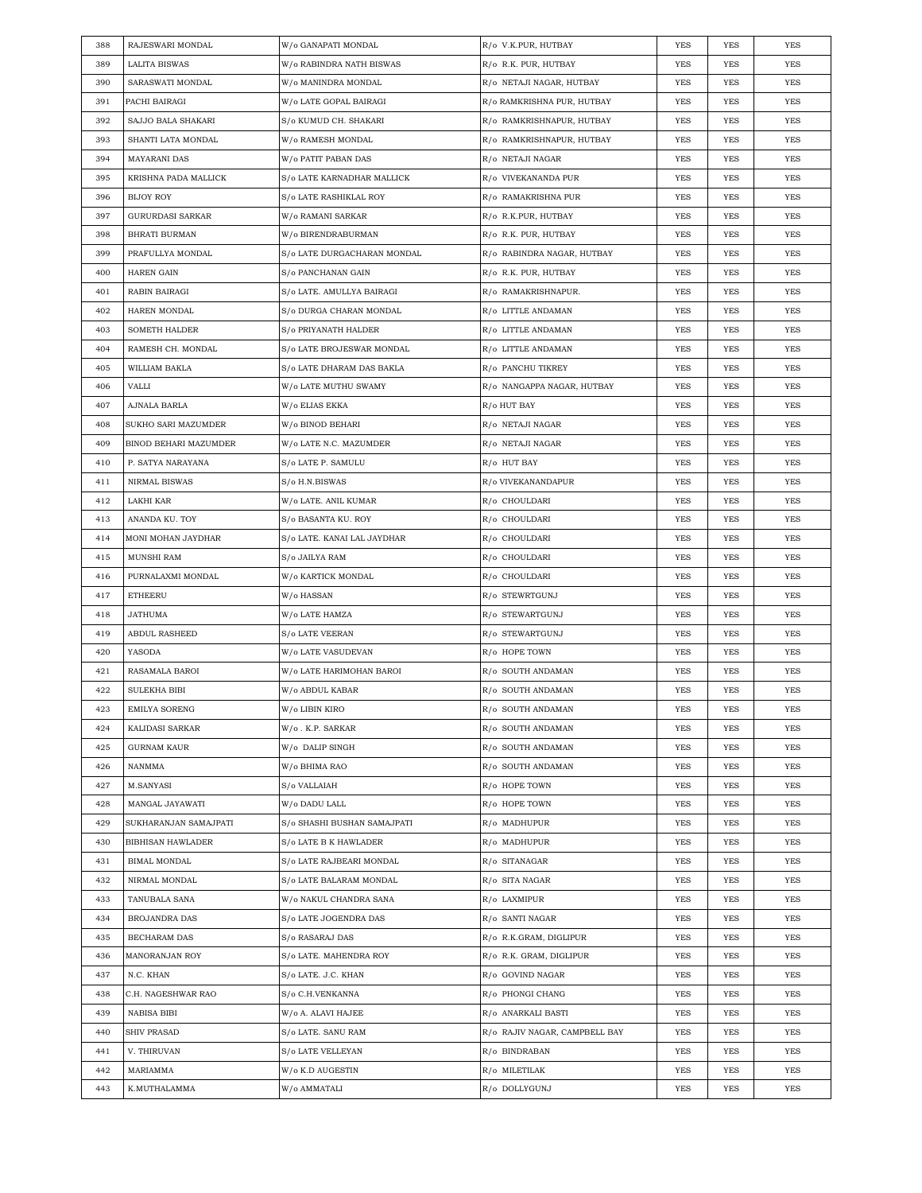| 388 | RAJESWARI MONDAL         | W/o GANAPATI MONDAL         | R/o V.K.PUR, HUTBAY           | YES        | YES        | YES        |
|-----|--------------------------|-----------------------------|-------------------------------|------------|------------|------------|
| 389 | <b>LALITA BISWAS</b>     | W/o RABINDRA NATH BISWAS    | R/o R.K. PUR, HUTBAY          | YES        | YES        | YES        |
| 390 | SARASWATI MONDAL         | W/o MANINDRA MONDAL         | R/o NETAJI NAGAR, HUTBAY      | YES        | <b>YES</b> | YES        |
| 391 | PACHI BAIRAGI            | W/o LATE GOPAL BAIRAGI      | R/o RAMKRISHNA PUR, HUTBAY    | YES        | YES        | YES        |
| 392 | SAJJO BALA SHAKARI       | S/o KUMUD CH. SHAKARI       | R/o RAMKRISHNAPUR, HUTBAY     | YES        | YES        | YES        |
| 393 | SHANTI LATA MONDAL       | W/o RAMESH MONDAL           | R/o RAMKRISHNAPUR, HUTBAY     | <b>YES</b> | YES        | YES        |
| 394 | MAYARANI DAS             | W/o PATIT PABAN DAS         | R/o NETAJI NAGAR              | YES        | YES        | YES        |
| 395 | KRISHNA PADA MALLICK     | S/o LATE KARNADHAR MALLICK  | R/o VIVEKANANDA PUR           | YES        | <b>YES</b> | YES        |
| 396 | <b>BIJOY ROY</b>         | S/o LATE RASHIKLAL ROY      | R/o RAMAKRISHNA PUR           | YES        | YES        | YES        |
| 397 | <b>GURURDASI SARKAR</b>  | W/o RAMANI SARKAR           | R/o R.K.PUR, HUTBAY           | YES        | <b>YES</b> | <b>YES</b> |
| 398 | <b>BHRATI BURMAN</b>     | W/o BIRENDRABURMAN          | R/o R.K. PUR, HUTBAY          | YES        | YES        | YES        |
| 399 | PRAFULLYA MONDAL         | S/o LATE DURGACHARAN MONDAL | R/0 RABINDRA NAGAR, HUTBAY    | YES        | YES        | YES        |
| 400 | <b>HAREN GAIN</b>        | S/o PANCHANAN GAIN          | R/o R.K. PUR, HUTBAY          | YES        | <b>YES</b> | YES        |
| 401 | RABIN BAIRAGI            | S/o LATE. AMULLYA BAIRAGI   | R/o RAMAKRISHNAPUR.           | YES        | YES        | YES        |
| 402 | HAREN MONDAL             | S/o DURGA CHARAN MONDAL     | R/o LITTLE ANDAMAN            | YES        | YES        | YES        |
| 403 | SOMETH HALDER            | S/o PRIYANATH HALDER        | R/o LITTLE ANDAMAN            | <b>YES</b> | <b>YES</b> | YES        |
| 404 | RAMESH CH. MONDAL        | S/o LATE BROJESWAR MONDAL   | R/o LITTLE ANDAMAN            | YES        | YES        | YES        |
| 405 | WILLIAM BAKLA            | S/o LATE DHARAM DAS BAKLA   | R/o PANCHU TIKREY             | YES        | <b>YES</b> | YES        |
| 406 | VALLI                    | W/o LATE MUTHU SWAMY        | R/o NANGAPPA NAGAR, HUTBAY    | YES        | YES        | YES        |
| 407 | AJNALA BARLA             | W/o ELIAS EKKA              | R/o HUT BAY                   | YES        | <b>YES</b> | <b>YES</b> |
| 408 | SUKHO SARI MAZUMDER      | W/o BINOD BEHARI            | R/o NETAJI NAGAR              | YES        | YES        | YES        |
| 409 | BINOD BEHARI MAZUMDER    | W/o LATE N.C. MAZUMDER      | R/o NETAJI NAGAR              | YES        | YES        | <b>YES</b> |
| 410 | P. SATYA NARAYANA        | S/o LATE P. SAMULU          | R/o HUT BAY                   | YES        | <b>YES</b> | YES        |
| 411 | NIRMAL BISWAS            | S/o H.N.BISWAS              | R/o VIVEKANANDAPUR            | YES        | YES        | YES        |
| 412 | LAKHI KAR                | W/o LATE. ANIL KUMAR        | R/o CHOULDARI                 | YES        | YES        | YES        |
| 413 | ANANDA KU. TOY           | S/o BASANTA KU. ROY         | R/o CHOULDARI                 | YES        | YES        | YES        |
| 414 | MONI MOHAN JAYDHAR       | S/o LATE. KANAI LAL JAYDHAR | R/o CHOULDARI                 | YES        | YES        | <b>YES</b> |
| 415 | <b>MUNSHI RAM</b>        | S/o JAILYA RAM              | R/o CHOULDARI                 | YES        | <b>YES</b> | YES        |
| 416 | PURNALAXMI MONDAL        | W/o KARTICK MONDAL          | R/o CHOULDARI                 | YES        | YES        | YES        |
| 417 | <b>ETHEERU</b>           | W/o HASSAN                  | R/o STEWRTGUNJ                | YES        | <b>YES</b> | <b>YES</b> |
| 418 | JATHUMA                  | W/o LATE HAMZA              | R/o STEWARTGUNJ               | YES        | YES        | YES        |
| 419 | <b>ABDUL RASHEED</b>     | S/o LATE VEERAN             | R/o STEWARTGUNJ               | YES        | YES        | <b>YES</b> |
| 420 | YASODA                   | W/o LATE VASUDEVAN          | R/o HOPE TOWN                 | YES        | <b>YES</b> | YES        |
| 421 | RASAMALA BAROI           | W/o LATE HARIMOHAN BAROI    | R/o SOUTH ANDAMAN             | YES        | YES        | YES        |
| 422 | <b>SULEKHA BIBI</b>      | W/o ABDUL KABAR             | R/o SOUTH ANDAMAN             | <b>YES</b> | <b>YES</b> | <b>YES</b> |
| 423 | EMILYA SORENG            | W/o LIBIN KIRO              | R/o SOUTH ANDAMAN             | <b>YES</b> | <b>YES</b> | <b>YES</b> |
| 424 | KALIDASI SARKAR          | W/o.K.P. SARKAR             | R/o SOUTH ANDAMAN             | <b>YES</b> | YES        | YES        |
| 425 | <b>GURNAM KAUR</b>       | W/o DALIP SINGH             | R/o SOUTH ANDAMAN             | <b>YES</b> | YES        | YES        |
| 426 | NANMMA                   | W/o BHIMA RAO               | R/o SOUTH ANDAMAN             | YES        | YES        | YES        |
| 427 | M.SANYASI                | S/o VALLAIAH                | R/o HOPE TOWN                 | YES        | YES        | YES        |
| 428 | MANGAL JAYAWATI          | W/o DADU LALL               | R/0 HOPE TOWN                 | YES        | YES        | YES        |
| 429 | SUKHARANJAN SAMAJPATI    | S/o SHASHI BUSHAN SAMAJPATI | R/o MADHUPUR                  | <b>YES</b> | YES        | YES        |
| 430 | <b>BIBHISAN HAWLADER</b> | S/o LATE B K HAWLADER       | R/o MADHUPUR                  | <b>YES</b> | YES        | YES        |
| 431 | <b>BIMAL MONDAL</b>      | S/o LATE RAJBEARI MONDAL    | R/o SITANAGAR                 | YES        | YES        | YES        |
| 432 | NIRMAL MONDAL            | S/o LATE BALARAM MONDAL     | R/o SITA NAGAR                | <b>YES</b> | YES        | YES        |
| 433 | TANUBALA SANA            | W/o NAKUL CHANDRA SANA      | R/o LAXMIPUR                  | <b>YES</b> | YES        | YES        |
| 434 | BROJANDRA DAS            | S/o LATE JOGENDRA DAS       | R/o SANTI NAGAR               | <b>YES</b> | YES        | YES        |
| 435 | BECHARAM DAS             | S/o RASARAJ DAS             | R/o R.K.GRAM, DIGLIPUR        | <b>YES</b> | YES        | YES        |
| 436 | MANORANJAN ROY           | S/o LATE. MAHENDRA ROY      | R/o R.K. GRAM, DIGLIPUR       | YES        | YES        | YES        |
| 437 | N.C. KHAN                | S/o LATE. J.C. KHAN         | R/o GOVIND NAGAR              | YES        | YES        | YES        |
| 438 | C.H. NAGESHWAR RAO       | S/o C.H.VENKANNA            | R/0 PHONGI CHANG              | YES        | YES        | YES        |
| 439 | NABISA BIBI              | W/o A. ALAVI HAJEE          | R/o ANARKALI BASTI            | <b>YES</b> | YES        | YES        |
| 440 | <b>SHIV PRASAD</b>       | S/o LATE. SANU RAM          | R/0 RAJIV NAGAR, CAMPBELL BAY | <b>YES</b> | YES        | YES        |
| 441 | V. THIRUVAN              | S/o LATE VELLEYAN           | R/o BINDRABAN                 | YES        | YES        | YES        |
| 442 |                          | W/o K.D AUGESTIN            | R/o MILETILAK                 | YES        | YES        | YES        |
|     | MARIAMMA                 |                             |                               |            |            |            |
| 443 | K.MUTHALAMMA             | W/o AMMATALI                | R/o DOLLYGUNJ                 | <b>YES</b> | YES        | YES        |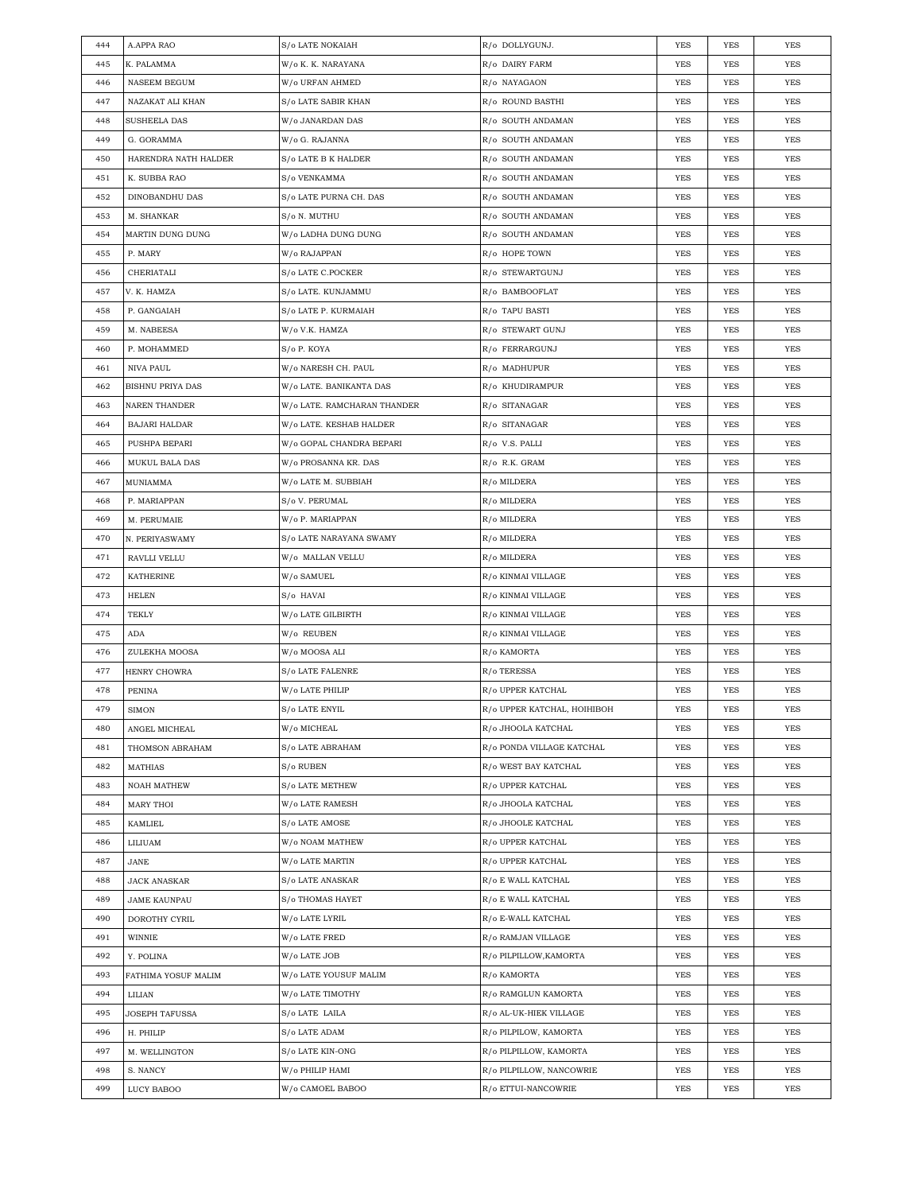| 444 | A.APPA RAO              | S/o LATE NOKAIAH            | R/o DOLLYGUNJ.              | YES        | YES        | YES        |
|-----|-------------------------|-----------------------------|-----------------------------|------------|------------|------------|
| 445 | K. PALAMMA              | W/o K. K. NARAYANA          | R/o DAIRY FARM              | YES        | YES        | YES        |
| 446 | <b>NASEEM BEGUM</b>     | W/o URFAN AHMED             | R/o NAYAGAON                | YES        | YES        | YES        |
| 447 | NAZAKAT ALI KHAN        | S/o LATE SABIR KHAN         | R/o ROUND BASTHI            | YES        | YES        | <b>YES</b> |
| 448 | <b>SUSHEELA DAS</b>     | W/o JANARDAN DAS            | R/o SOUTH ANDAMAN           | YES        | YES        | <b>YES</b> |
| 449 | G. GORAMMA              | W/o G. RAJANNA              | R/o SOUTH ANDAMAN           | YES        | YES        | <b>YES</b> |
| 450 | HARENDRA NATH HALDER    | S/o LATE B K HALDER         | R/o SOUTH ANDAMAN           | YES        | YES        | YES        |
| 451 | K. SUBBA RAO            | S/o VENKAMMA                | R/o SOUTH ANDAMAN           | YES        | YES        | <b>YES</b> |
| 452 | DINOBANDHU DAS          | S/o LATE PURNA CH. DAS      | R/o SOUTH ANDAMAN           | YES        | YES        | <b>YES</b> |
| 453 | M. SHANKAR              | S/o N. MUTHU                | R/o SOUTH ANDAMAN           | YES        | YES        | YES        |
| 454 | MARTIN DUNG DUNG        | W/o LADHA DUNG DUNG         | R/o SOUTH ANDAMAN           | YES        | YES        | YES        |
| 455 | P. MARY                 | W/o RAJAPPAN                | R/o HOPE TOWN               | YES        | YES        | YES        |
| 456 | CHERIATALI              | S/o LATE C.POCKER           | R/o STEWARTGUNJ             | YES        | YES        | <b>YES</b> |
| 457 | V. K. HAMZA             | S/o LATE. KUNJAMMU          | R/o BAMBOOFLAT              | YES        | YES        | <b>YES</b> |
| 458 | P. GANGAIAH             | S/o LATE P. KURMAIAH        | R/o TAPU BASTI              | YES        | YES        | <b>YES</b> |
| 459 | M. NABEESA              | W/o V.K. HAMZA              | R/o STEWART GUNJ            | YES        | YES        | YES        |
| 460 | P. MOHAMMED             | S/o P. KOYA                 | R/o FERRARGUNJ              | YES        | YES        | YES        |
| 461 | NIVA PAUL               | W/o NARESH CH. PAUL         | R/o MADHUPUR                | YES        | YES        | YES        |
| 462 | <b>BISHNU PRIYA DAS</b> | W/o LATE. BANIKANTA DAS     | R/o KHUDIRAMPUR             | YES        | YES        | <b>YES</b> |
| 463 | <b>NAREN THANDER</b>    | W/o LATE. RAMCHARAN THANDER | R/o SITANAGAR               | YES        | YES        | <b>YES</b> |
| 464 | <b>BAJARI HALDAR</b>    | W/o LATE. KESHAB HALDER     | R/o SITANAGAR               | YES        | YES        | YES        |
| 465 | PUSHPA BEPARI           | W/o GOPAL CHANDRA BEPARI    | R/o V.S. PALLI              | YES        | YES        | <b>YES</b> |
| 466 | MUKUL BALA DAS          | W/o PROSANNA KR. DAS        | R/o R.K. GRAM               | YES        | YES        | YES        |
| 467 | MUNIAMMA                | W/o LATE M. SUBBIAH         | R/o MILDERA                 | YES        | YES        | YES        |
| 468 | P. MARIAPPAN            | S/o V. PERUMAL              | R/o MILDERA                 | YES        | YES        | <b>YES</b> |
| 469 | M. PERUMAIE             | W/o P. MARIAPPAN            | R/o MILDERA                 | YES        | YES        | YES        |
| 470 | N. PERIYASWAMY          | S/o LATE NARAYANA SWAMY     | R/o MILDERA                 | YES        | YES        | <b>YES</b> |
| 471 | RAVLLI VELLU            | W/o MALLAN VELLU            | R/o MILDERA                 | YES        | YES        | <b>YES</b> |
|     |                         |                             |                             |            |            |            |
| 472 | <b>KATHERINE</b>        | W/o SAMUEL                  | R/o KINMAI VILLAGE          | YES        | YES        | <b>YES</b> |
| 473 | HELEN                   | S/o HAVAI                   | R/o KINMAI VILLAGE          | YES        | YES        | YES        |
| 474 | TEKLY                   | W/o LATE GILBIRTH           | R/o KINMAI VILLAGE          | YES        | YES        | YES        |
| 475 | ADA                     | W/o REUBEN                  | R/o KINMAI VILLAGE          | YES        | YES        | YES        |
| 476 | ZULEKHA MOOSA           | W/o MOOSA ALI               | R/o KAMORTA                 | YES        | YES        | <b>YES</b> |
| 477 | HENRY CHOWRA            | S/o LATE FALENRE            | R/o TERESSA                 | YES        | YES        | <b>YES</b> |
| 478 | <b>PENINA</b>           | W/o LATE PHILIP             | R/o UPPER KATCHAL           | <b>YES</b> | <b>YES</b> | <b>YES</b> |
| 479 | <b>SIMON</b>            | S/o LATE ENYIL              | R/o UPPER KATCHAL, HOIHIBOH | <b>YES</b> | <b>YES</b> | <b>YES</b> |
| 480 | ANGEL MICHEAL           | W/o MICHEAL                 | R/o JHOOLA KATCHAL          | YES        | YES        | YES        |
| 481 | THOMSON ABRAHAM         | S/o LATE ABRAHAM            | R/o PONDA VILLAGE KATCHAL   | YES        | YES        | YES        |
| 482 | MATHIAS                 | S/o RUBEN                   | R/o WEST BAY KATCHAL        | YES        | YES        | YES        |
| 483 | <b>NOAH MATHEW</b>      | S/o LATE METHEW             | R/o UPPER KATCHAL           | YES        | YES        | YES        |
| 484 | MARY THOI               | W/o LATE RAMESH             | R/o JHOOLA KATCHAL          | YES        | YES        | YES        |
| 485 | KAMLIEL                 | S/o LATE AMOSE              | R/o JHOOLE KATCHAL          | YES        | YES        | YES        |
| 486 | LILIUAM                 | W/o NOAM MATHEW             | R/o UPPER KATCHAL           | YES        | YES        | YES        |
| 487 | JANE                    | W/o LATE MARTIN             | R/o UPPER KATCHAL           | YES        | YES        | YES        |
| 488 | <b>JACK ANASKAR</b>     | S/o LATE ANASKAR            | R/o E WALL KATCHAL          | YES        | YES        | YES        |
| 489 | <b>JAME KAUNPAU</b>     | S/o THOMAS HAYET            | R/o E WALL KATCHAL          | YES        | YES        | YES        |
| 490 | DOROTHY CYRIL           | W/o LATE LYRIL              | R/o E-WALL KATCHAL          | YES        | YES        | YES        |
| 491 | WINNIE                  | W/o LATE FRED               | R/o RAMJAN VILLAGE          | YES        | YES        | YES        |
| 492 | Y. POLINA               | W/o LATE JOB                | R/o PILPILLOW, KAMORTA      | YES        | YES        | YES        |
| 493 | FATHIMA YOSUF MALIM     | W/o LATE YOUSUF MALIM       | R/o KAMORTA                 | YES        | YES        | YES        |
| 494 | LILIAN                  | W/o LATE TIMOTHY            | R/o RAMGLUN KAMORTA         | YES        | YES        | YES        |
| 495 | <b>JOSEPH TAFUSSA</b>   | S/o LATE LAILA              | R/o AL-UK-HIEK VILLAGE      | YES        | YES        | YES        |
| 496 | H. PHILIP               | S/o LATE ADAM               | R/o PILPILOW, KAMORTA       | YES        | YES        | YES        |
| 497 | M. WELLINGTON           | S/o LATE KIN-ONG            | R/o PILPILLOW, KAMORTA      | YES        | YES        | YES        |
| 498 | S. NANCY                | W/o PHILIP HAMI             | R/o PILPILLOW, NANCOWRIE    | YES        | YES        | YES        |
| 499 | LUCY BABOO              | W/o CAMOEL BABOO            | R/o ETTUI-NANCOWRIE         | <b>YES</b> | YES        | YES        |